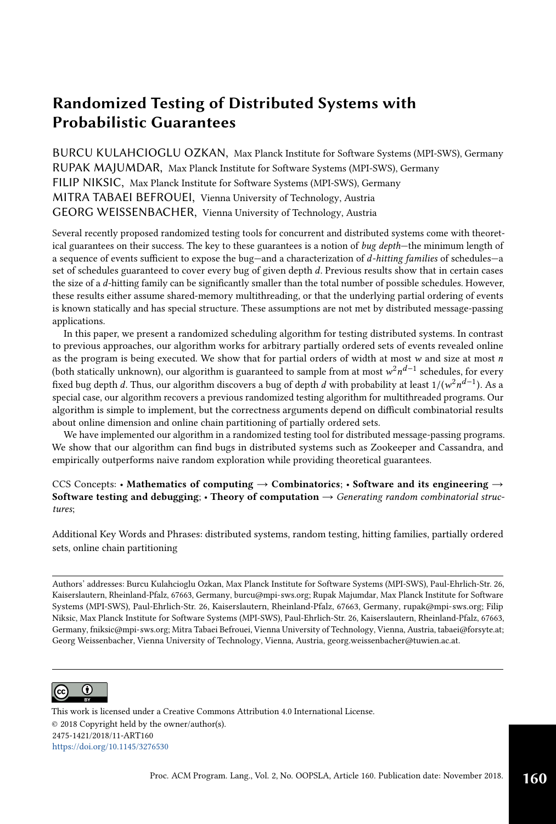BURCU KULAHCIOGLU OZKAN, Max Planck Institute for Software Systems (MPI-SWS), Germany RUPAK MAJUMDAR, Max Planck Institute for Software Systems (MPI-SWS), Germany FILIP NIKSIC, Max Planck Institute for Software Systems (MPI-SWS), Germany MITRA TABAEI BEFROUEI, Vienna University of Technology, Austria GEORG WEISSENBACHER, Vienna University of Technology, Austria

Several recently proposed randomized testing tools for concurrent and distributed systems come with theoretical guarantees on their success. The key to these guarantees is a notion of bug depth–the minimum length of a sequence of events sufficient to expose the bug-and a characterization of d-hitting families of schedules-a set of schedules guaranteed to cover every bug of given depth d. Previous results show that in certain cases the size of a d-hitting family can be significantly smaller than the total number of possible schedules. However, these results either assume shared-memory multithreading, or that the underlying partial ordering of events is known statically and has special structure. These assumptions are not met by distributed message-passing applications.

In this paper, we present a randomized scheduling algorithm for testing distributed systems. In contrast to previous approaches, our algorithm works for arbitrary partially ordered sets of events revealed online as the program is being executed. We show that for partial orders of width at most  $w$  and size at most  $n$ (both statically unknown), our algorithm is guaranteed to sample from at most  $w^2n^{d-1}$  schedules, for every fixed bug depth  $d.$  Thus, our algorithm discovers a bug of depth  $d$  with probability at least 1/( $\mathsf{w}^2 n^{d-1}$ ). As a special case, our algorithm recovers a previous randomized testing algorithm for multithreaded programs. Our algorithm is simple to implement, but the correctness arguments depend on difficult combinatorial results about online dimension and online chain partitioning of partially ordered sets.

We have implemented our algorithm in a randomized testing tool for distributed message-passing programs. We show that our algorithm can find bugs in distributed systems such as Zookeeper and Cassandra, and empirically outperforms naive random exploration while providing theoretical guarantees.

CCS Concepts: • Mathematics of computing  $\rightarrow$  Combinatorics; • Software and its engineering  $\rightarrow$ Software testing and debugging: • Theory of computation  $\rightarrow$  Generating random combinatorial structures;

Additional Key Words and Phrases: distributed systems, random testing, hitting families, partially ordered sets, online chain partitioning

Authors' addresses: Burcu Kulahcioglu Ozkan, Max Planck Institute for Software Systems (MPI-SWS), Paul-Ehrlich-Str. 26, Kaiserslautern, Rheinland-Pfalz, 67663, Germany, burcu@mpi-sws.org; Rupak Majumdar, Max Planck Institute for Software Systems (MPI-SWS), Paul-Ehrlich-Str. 26, Kaiserslautern, Rheinland-Pfalz, 67663, Germany, rupak@mpi-sws.org; Filip Niksic, Max Planck Institute for Software Systems (MPI-SWS), Paul-Ehrlich-Str. 26, Kaiserslautern, Rheinland-Pfalz, 67663, Germany, fniksic@mpi-sws.org; Mitra Tabaei Befrouei, Vienna University of Technology, Vienna, Austria, tabaei@forsyte.at; Georg Weissenbacher, Vienna University of Technology, Vienna, Austria, georg.weissenbacher@tuwien.ac.at.



This work is licensed under a Creative Commons Attribution 4.0 International License. © 2018 Copyright held by the owner/author(s). 2475-1421/2018/11-ART160 <https://doi.org/10.1145/3276530>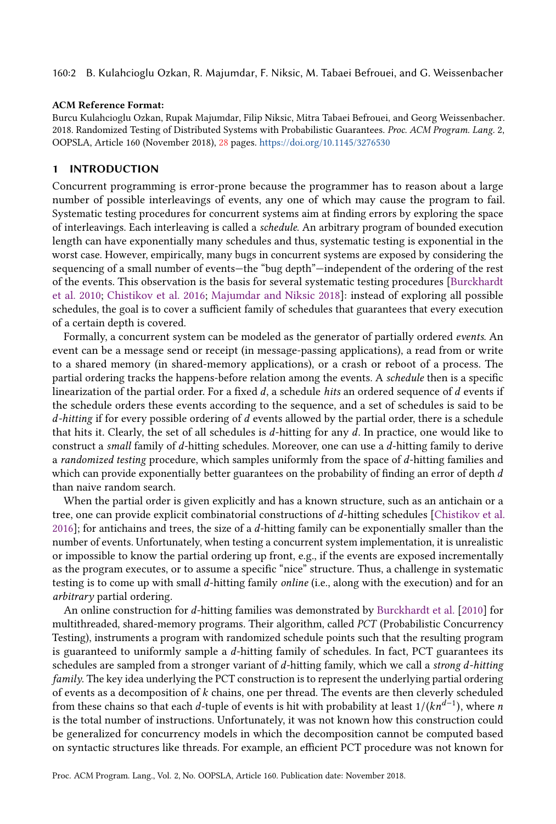160:2 B. Kulahcioglu Ozkan, R. Majumdar, F. Niksic, M. Tabaei Befrouei, and G. Weissenbacher

#### ACM Reference Format:

Burcu Kulahcioglu Ozkan, Rupak Majumdar, Filip Niksic, Mitra Tabaei Befrouei, and Georg Weissenbacher. 2018. Randomized Testing of Distributed Systems with Probabilistic Guarantees. Proc. ACM Program. Lang. 2, OOPSLA, Article 160 (November 2018), [28](#page-27-0) pages. <https://doi.org/10.1145/3276530>

# 1 INTRODUCTION

Concurrent programming is error-prone because the programmer has to reason about a large number of possible interleavings of events, any one of which may cause the program to fail. Systematic testing procedures for concurrent systems aim at finding errors by exploring the space of interleavings. Each interleaving is called a schedule. An arbitrary program of bounded execution length can have exponentially many schedules and thus, systematic testing is exponential in the worst case. However, empirically, many bugs in concurrent systems are exposed by considering the sequencing of a small number of events-the "bug depth"-independent of the ordering of the rest of the events. This observation is the basis for several systematic testing procedures [\[Burckhardt](#page-25-0) [et al.](#page-25-0) [2010;](#page-25-0) [Chistikov et al.](#page-26-0) [2016;](#page-26-0) [Majumdar and Niksic 2018\]](#page-26-1): instead of exploring all possible schedules, the goal is to cover a sufficient family of schedules that guarantees that every execution of a certain depth is covered.

Formally, a concurrent system can be modeled as the generator of partially ordered events. An event can be a message send or receipt (in message-passing applications), a read from or write to a shared memory (in shared-memory applications), or a crash or reboot of a process. The partial ordering tracks the happens-before relation among the events. A schedule then is a specific linearization of the partial order. For a fixed  $d$ , a schedule hits an ordered sequence of  $d$  events if the schedule orders these events according to the sequence, and a set of schedules is said to be  $d$ -hitting if for every possible ordering of  $d$  events allowed by the partial order, there is a schedule that hits it. Clearly, the set of all schedules is d-hitting for any d. In practice, one would like to construct a small family of d-hitting schedules. Moreover, one can use a d-hitting family to derive a randomized testing procedure, which samples uniformly from the space of d-hitting families and which can provide exponentially better guarantees on the probability of finding an error of depth  $d$ than naive random search.

When the partial order is given explicitly and has a known structure, such as an antichain or a tree, one can provide explicit combinatorial constructions of d-hitting schedules [\[Chistikov et al.](#page-26-0) [2016\]](#page-26-0); for antichains and trees, the size of a d-hitting family can be exponentially smaller than the number of events. Unfortunately, when testing a concurrent system implementation, it is unrealistic or impossible to know the partial ordering up front, e.g., if the events are exposed incrementally as the program executes, or to assume a specific "nice" structure. Thus, a challenge in systematic testing is to come up with small d-hitting family online (i.e., along with the execution) and for an arbitrary partial ordering.

An online construction for d-hitting families was demonstrated by [Burckhardt et al.](#page-25-0) [\[2010\]](#page-25-0) for multithreaded, shared-memory programs. Their algorithm, called PCT (Probabilistic Concurrency Testing), instruments a program with randomized schedule points such that the resulting program is guaranteed to uniformly sample a  $d$ -hitting family of schedules. In fact, PCT guarantees its schedules are sampled from a stronger variant of  $d$ -hitting family, which we call a strong  $d$ -hitting family. The key idea underlying the PCT construction is to represent the underlying partial ordering of events as a decomposition of k chains, one per thread. The events are then cleverly scheduled from these chains so that each  $d$ -tuple of events is hit with probability at least 1/( $kn^{d-1}$ ), where  $n$ is the total number of instructions. Unfortunately, it was not known how this construction could be generalized for concurrency models in which the decomposition cannot be computed based on syntactic structures like threads. For example, an efficient PCT procedure was not known for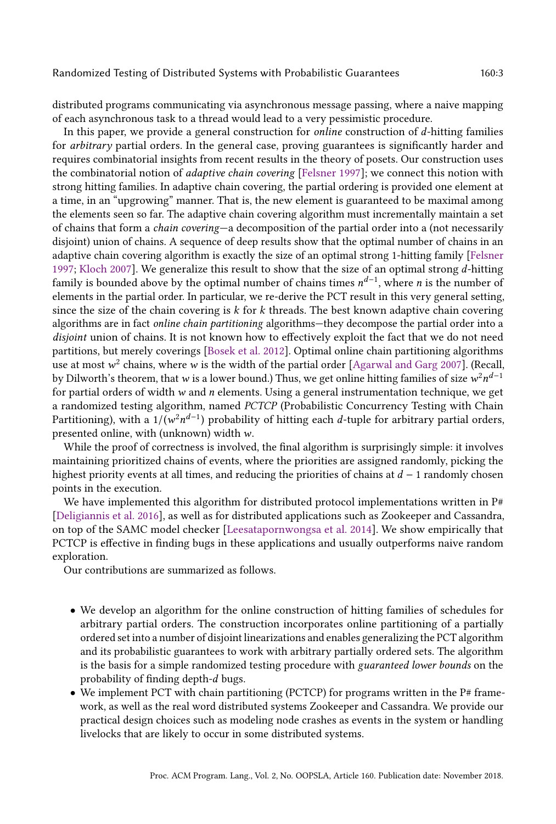distributed programs communicating via asynchronous message passing, where a naive mapping of each asynchronous task to a thread would lead to a very pessimistic procedure.

In this paper, we provide a general construction for *online* construction of  $d$ -hitting families for arbitrary partial orders. In the general case, proving guarantees is significantly harder and requires combinatorial insights from recent results in the theory of posets. Our construction uses the combinatorial notion of adaptive chain covering [\[Felsner 1997\]](#page-26-2); we connect this notion with strong hitting families. In adaptive chain covering, the partial ordering is provided one element at a time, in an "upgrowing" manner. That is, the new element is guaranteed to be maximal among the elements seen so far. The adaptive chain covering algorithm must incrementally maintain a set of chains that form a *chain covering*—a decomposition of the partial order into a (not necessarily disjoint) union of chains. A sequence of deep results show that the optimal number of chains in an adaptive chain covering algorithm is exactly the size of an optimal strong 1-hitting family [\[Felsner](#page-26-2) [1997;](#page-26-2) [Kloch 2007\]](#page-26-3). We generalize this result to show that the size of an optimal strong  $d$ -hitting family is bounded above by the optimal number of chains times  $n^{d-1}$ , where n is the number of elements in the partial order. In particular, we re-derive the PCT result in this very general setting, since the size of the chain covering is  $k$  for  $k$  threads. The best known adaptive chain covering algorithms are in fact online chain partitioning algorithms—they decompose the partial order into a disjoint union of chains. It is not known how to effectively exploit the fact that we do not need partitions, but merely coverings [\[Bosek et al.](#page-25-1) [2012\]](#page-25-1). Optimal online chain partitioning algorithms use at most  $w^2$  chains, where  $w$  is the width of the partial order [\[Agarwal and Garg 2007\]](#page-25-2). (Recall, by Dilworth's theorem, that  $w$  is a lower bound.) Thus, we get online hitting families of size  $w^2n^{d-1}$ for partial orders of width  $w$  and  $n$  elements. Using a general instrumentation technique, we get a randomized testing algorithm, named PCTCP (Probabilistic Concurrency Testing with Chain Partitioning), with a 1/( $w^2n^{d-1}$ ) probability of hitting each  $d$ -tuple for arbitrary partial orders, presented online, with (unknown) width w.

While the proof of correctness is involved, the final algorithm is surprisingly simple: it involves maintaining prioritized chains of events, where the priorities are assigned randomly, picking the highest priority events at all times, and reducing the priorities of chains at  $d - 1$  randomly chosen points in the execution.

We have implemented this algorithm for distributed protocol implementations written in  $P#$ [\[Deligiannis et al.](#page-26-4) [2016\]](#page-26-4), as well as for distributed applications such as Zookeeper and Cassandra, on top of the SAMC model checker [\[Leesatapornwongsa et al.](#page-26-5) [2014\]](#page-26-5). We show empirically that PCTCP is effective in finding bugs in these applications and usually outperforms naive random exploration.

Our contributions are summarized as follows.

- We develop an algorithm for the online construction of hitting families of schedules for arbitrary partial orders. The construction incorporates online partitioning of a partially ordered set into a number of disjoint linearizations and enables generalizing the PCT algorithm and its probabilistic guarantees to work with arbitrary partially ordered sets. The algorithm is the basis for a simple randomized testing procedure with guaranteed lower bounds on the probability of finding depth-d bugs.
- We implement PCT with chain partitioning (PCTCP) for programs written in the  $P# frame$ work, as well as the real word distributed systems Zookeeper and Cassandra. We provide our practical design choices such as modeling node crashes as events in the system or handling livelocks that are likely to occur in some distributed systems.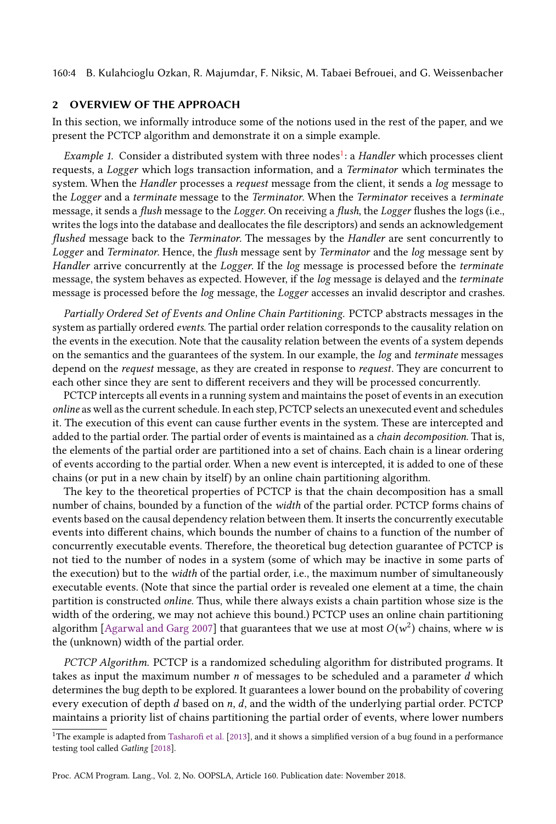160:4 B. Kulahcioglu Ozkan, R. Majumdar, F. Niksic, M. Tabaei Befrouei, and G. Weissenbacher

#### <span id="page-3-1"></span>2 OVERVIEW OF THE APPROACH

In this section, we informally introduce some of the notions used in the rest of the paper, and we present the PCTCP algorithm and demonstrate it on a simple example.

Example [1](#page-3-0). Consider a distributed system with three nodes<sup>1</sup>: a Handler which processes client requests, a Logger which logs transaction information, and a Terminator which terminates the system. When the Handler processes a request message from the client, it sends a log message to the Logger and a terminate message to the Terminator. When the Terminator receives a terminate message, it sends a flush message to the Logger. On receiving a flush, the Logger flushes the logs (i.e., writes the logs into the database and deallocates the file descriptors) and sends an acknowledgement flushed message back to the Terminator. The messages by the Handler are sent concurrently to Logger and Terminator. Hence, the flush message sent by Terminator and the log message sent by Handler arrive concurrently at the Logger. If the log message is processed before the terminate message, the system behaves as expected. However, if the log message is delayed and the terminate message is processed before the log message, the Logger accesses an invalid descriptor and crashes.

Partially Ordered Set of Events and Online Chain Partitioning. PCTCP abstracts messages in the system as partially ordered events. The partial order relation corresponds to the causality relation on the events in the execution. Note that the causality relation between the events of a system depends on the semantics and the guarantees of the system. In our example, the log and terminate messages depend on the request message, as they are created in response to request. They are concurrent to each other since they are sent to different receivers and they will be processed concurrently.

PCTCP intercepts all events in a running system and maintains the poset of events in an execution online as well as the current schedule. In each step, PCTCP selects an unexecuted event and schedules it. The execution of this event can cause further events in the system. These are intercepted and added to the partial order. The partial order of events is maintained as a chain decomposition. That is, the elements of the partial order are partitioned into a set of chains. Each chain is a linear ordering of events according to the partial order. When a new event is intercepted, it is added to one of these chains (or put in a new chain by itself) by an online chain partitioning algorithm.

The key to the theoretical properties of PCTCP is that the chain decomposition has a small number of chains, bounded by a function of the width of the partial order. PCTCP forms chains of events based on the causal dependency relation between them. It inserts the concurrently executable events into different chains, which bounds the number of chains to a function of the number of concurrently executable events. Therefore, the theoretical bug detection guarantee of PCTCP is not tied to the number of nodes in a system (some of which may be inactive in some parts of the execution) but to the *width* of the partial order, i.e., the maximum number of simultaneously executable events. (Note that since the partial order is revealed one element at a time, the chain partition is constructed online. Thus, while there always exists a chain partition whose size is the width of the ordering, we may not achieve this bound.) PCTCP uses an online chain partitioning algorithm [\[Agarwal and Garg 2007\]](#page-25-2) that guarantees that we use at most  $O(w^2)$  chains, where  $w$  is the (unknown) width of the partial order.

PCTCP Algorithm. PCTCP is a randomized scheduling algorithm for distributed programs. It takes as input the maximum number  $n$  of messages to be scheduled and a parameter  $d$  which determines the bug depth to be explored. It guarantees a lower bound on the probability of covering every execution of depth  $d$  based on  $n$ ,  $d$ , and the width of the underlying partial order. PCTCP maintains a priority list of chains partitioning the partial order of events, where lower numbers

<span id="page-3-0"></span><sup>&</sup>lt;sup>1</sup>The example is adapted from [Tasharofi et al.](#page-27-1) [\[2013\]](#page-27-1), and it shows a simplified version of a bug found in a performance testing tool called Gatling [\[2018\]](#page-26-6).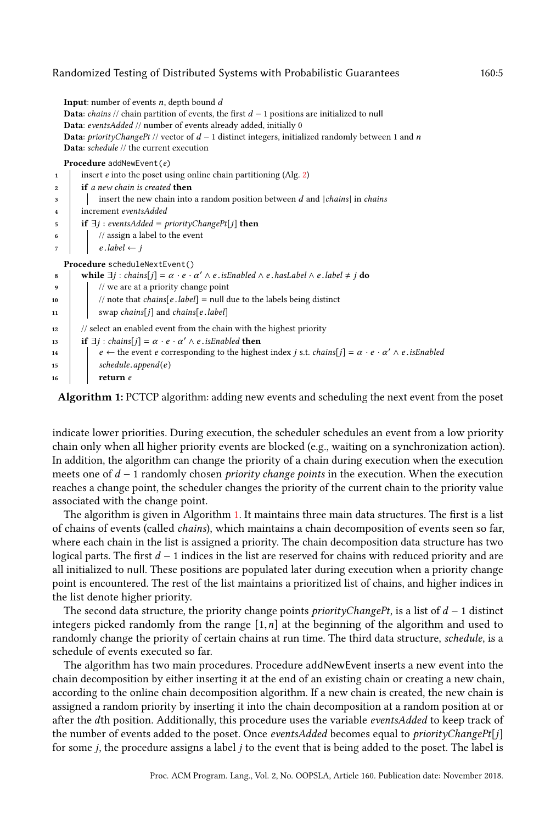**Input:** number of events  $n$ , depth bound  $d$ **Data**: *chains* // chain partition of events, the first  $d - 1$  positions are initialized to null Data: eventsAdded // number of events already added, initially 0 Data: priorityChangePt // vector of  $d - 1$  distinct integers, initialized randomly between 1 and n Data: schedule // the current execution Procedure addNewEvent(e)

| $\mathbf{1}$ | insert $e$ into the poset using online chain partitioning (Alg. 2)                                                                            |
|--------------|-----------------------------------------------------------------------------------------------------------------------------------------------|
| $\mathbf{2}$ | <b>if</b> a new chain is created <b>then</b>                                                                                                  |
| 3            | insert the new chain into a random position between $d$ and $ chains $ in <i>chains</i>                                                       |
| 4            | increment eventsAdded                                                                                                                         |
| 5            | <b>if</b> $\exists j$ : eventsAdded = priorityChangePt[j] <b>then</b>                                                                         |
| 6            | // assign a label to the event                                                                                                                |
| 7            | $e$ .label $\leftarrow i$                                                                                                                     |
|              | Procedure scheduleNextEvent()                                                                                                                 |
| 8            | while $\exists j : chains[j] = \alpha \cdot e \cdot \alpha' \wedge e \cdot isEnabeled \wedge e \cdot hasLabel \wedge e \cdot label \neq j$ do |
| 9            | // we are at a priority change point                                                                                                          |
| 10           | // note that <i>chains</i> [ $e$ . <i>label</i> ] = null due to the labels being distinct                                                     |
| 11           | swap chains[j] and chains[e.label]                                                                                                            |
| 12           | // select an enabled event from the chain with the highest priority                                                                           |
| 13           | if $\exists j : chains[j] = \alpha \cdot e \cdot \alpha' \wedge e$ . <i>isEnabled</i> then                                                    |
| 14           | $e \leftarrow$ the event e corresponding to the highest index j s.t. chains $ j  = \alpha \cdot e \cdot \alpha' \wedge e$ . is Enabled        |
| 15           | $s$ chedule.append $(e)$                                                                                                                      |
| 16           | return e                                                                                                                                      |
|              |                                                                                                                                               |

<span id="page-4-0"></span>Algorithm 1: PCTCP algorithm: adding new events and scheduling the next event from the poset

indicate lower priorities. During execution, the scheduler schedules an event from a low priority chain only when all higher priority events are blocked (e.g., waiting on a synchronization action). In addition, the algorithm can change the priority of a chain during execution when the execution meets one of  $d - 1$  randomly chosen *priority change points* in the execution. When the execution reaches a change point, the scheduler changes the priority of the current chain to the priority value associated with the change point.

The algorithm is given in Algorithm [1.](#page-4-0) It maintains three main data structures. The first is a list of chains of events (called chains), which maintains a chain decomposition of events seen so far, where each chain in the list is assigned a priority. The chain decomposition data structure has two logical parts. The first  $d-1$  indices in the list are reserved for chains with reduced priority and are all initialized to null. These positions are populated later during execution when a priority change point is encountered. The rest of the list maintains a prioritized list of chains, and higher indices in the list denote higher priority.

The second data structure, the priority change points *priorityChangePt*, is a list of  $d - 1$  distinct integers picked randomly from the range  $[1, n]$  at the beginning of the algorithm and used to randomly change the priority of certain chains at run time. The third data structure, schedule, is a schedule of events executed so far.

The algorithm has two main procedures. Procedure addNewEvent inserts a new event into the chain decomposition by either inserting it at the end of an existing chain or creating a new chain, according to the online chain decomposition algorithm. If a new chain is created, the new chain is assigned a random priority by inserting it into the chain decomposition at a random position at or after the dth position. Additionally, this procedure uses the variable eventsAdded to keep track of the number of events added to the poset. Once eventsAdded becomes equal to *priorityChangePt[j]* for some  $j$ , the procedure assigns a label  $j$  to the event that is being added to the poset. The label is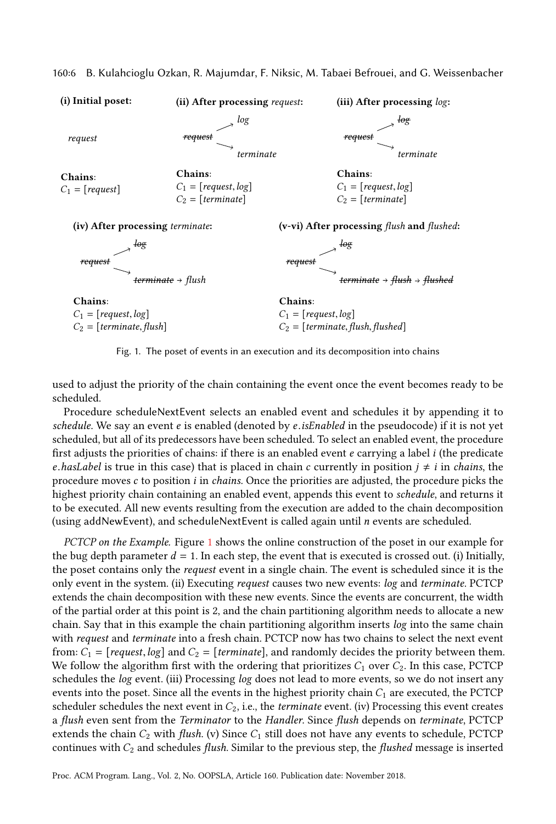<span id="page-5-0"></span>

160:6 B. Kulahcioglu Ozkan, R. Majumdar, F. Niksic, M. Tabaei Befrouei, and G. Weissenbacher

Fig. 1. The poset of events in an execution and its decomposition into chains

used to adjust the priority of the chain containing the event once the event becomes ready to be scheduled.

Procedure scheduleNextEvent selects an enabled event and schedules it by appending it to schedule. We say an event e is enabled (denoted by e.isEnabled in the pseudocode) if it is not yet scheduled, but all of its predecessors have been scheduled. To select an enabled event, the procedure first adjusts the priorities of chains: if there is an enabled event  $e$  carrying a label  $i$  (the predicate e.hasLabel is true in this case) that is placed in chain c currently in position  $j \neq i$  in chains, the procedure moves  $c$  to position  $i$  in *chains*. Once the priorities are adjusted, the procedure picks the highest priority chain containing an enabled event, appends this event to schedule, and returns it to be executed. All new events resulting from the execution are added to the chain decomposition (using addNewEvent), and scheduleNextEvent is called again until n events are scheduled.

PCTCP on the Example. Figure [1](#page-5-0) shows the online construction of the poset in our example for the bug depth parameter  $d = 1$ . In each step, the event that is executed is crossed out. (i) Initially, the poset contains only the request event in a single chain. The event is scheduled since it is the only event in the system. (ii) Executing request causes two new events: log and terminate. PCTCP extends the chain decomposition with these new events. Since the events are concurrent, the width of the partial order at this point is 2, and the chain partitioning algorithm needs to allocate a new chain. Say that in this example the chain partitioning algorithm inserts log into the same chain with request and terminate into a fresh chain. PCTCP now has two chains to select the next event from:  $C_1$  = [request, log] and  $C_2$  = [terminate], and randomly decides the priority between them. We follow the algorithm first with the ordering that prioritizes  $C_1$  over  $C_2$ . In this case, PCTCP schedules the log event. (iii) Processing log does not lead to more events, so we do not insert any events into the poset. Since all the events in the highest priority chain  $C_1$  are executed, the PCTCP scheduler schedules the next event in  $C_2$ , i.e., the *terminate* event. (iv) Processing this event creates a flush even sent from the Terminator to the Handler. Since flush depends on terminate, PCTCP extends the chain  $C_2$  with flush. (v) Since  $C_1$  still does not have any events to schedule, PCTCP continues with  $C_2$  and schedules flush. Similar to the previous step, the flushed message is inserted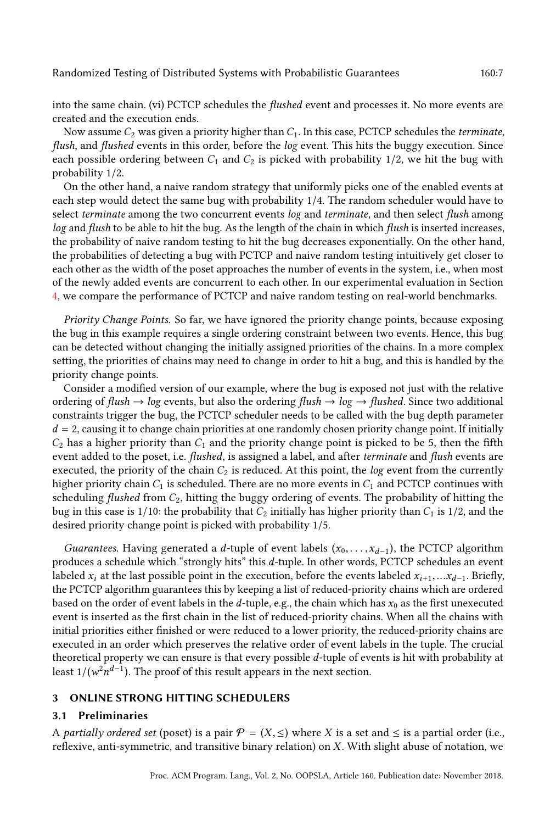into the same chain. (vi) PCTCP schedules the flushed event and processes it. No more events are created and the execution ends.

Now assume  $C_2$  was given a priority higher than  $C_1$ . In this case, PCTCP schedules the *terminate*, flush, and flushed events in this order, before the log event. This hits the buggy execution. Since each possible ordering between  $C_1$  and  $C_2$  is picked with probability 1/2, we hit the bug with probability 1/2.

On the other hand, a naive random strategy that uniformly picks one of the enabled events at each step would detect the same bug with probability 1/4. The random scheduler would have to select terminate among the two concurrent events log and terminate, and then select flush among log and flush to be able to hit the bug. As the length of the chain in which flush is inserted increases, the probability of naive random testing to hit the bug decreases exponentially. On the other hand, the probabilities of detecting a bug with PCTCP and naive random testing intuitively get closer to each other as the width of the poset approaches the number of events in the system, i.e., when most of the newly added events are concurrent to each other. In our experimental evaluation in Section [4,](#page-15-0) we compare the performance of PCTCP and naive random testing on real-world benchmarks.

Priority Change Points. So far, we have ignored the priority change points, because exposing the bug in this example requires a single ordering constraint between two events. Hence, this bug can be detected without changing the initially assigned priorities of the chains. In a more complex setting, the priorities of chains may need to change in order to hit a bug, and this is handled by the priority change points.

Consider a modified version of our example, where the bug is exposed not just with the relative ordering of flush  $\rightarrow$  log events, but also the ordering flush  $\rightarrow$  log  $\rightarrow$  flushed. Since two additional constraints trigger the bug, the PCTCP scheduler needs to be called with the bug depth parameter  $d = 2$ , causing it to change chain priorities at one randomly chosen priority change point. If initially  $C_2$  has a higher priority than  $C_1$  and the priority change point is picked to be 5, then the fifth event added to the poset, i.e. flushed, is assigned a label, and after terminate and flush events are executed, the priority of the chain  $C_2$  is reduced. At this point, the *log* event from the currently higher priority chain  $C_1$  is scheduled. There are no more events in  $C_1$  and PCTCP continues with scheduling flushed from  $C_2$ , hitting the buggy ordering of events. The probability of hitting the bug in this case is  $1/10$ : the probability that  $C_2$  initially has higher priority than  $C_1$  is  $1/2$ , and the desired priority change point is picked with probability 1/5.

Guarantees. Having generated a d-tuple of event labels  $(x_0, \ldots, x_{d-1})$ , the PCTCP algorithm produces a schedule which "strongly hits" this d-tuple. In other words, PCTCP schedules an event labeled  $x_i$  at the last possible point in the execution, before the events labeled  $x_{i+1},...x_{d-1}$ . Briefly, the PCTCP algorithm guarantees this by keeping a list of reduced-priority chains which are ordered based on the order of event labels in the d-tuple, e.g., the chain which has  $x_0$  as the first unexecuted event is inserted as the first chain in the list of reduced-priority chains. When all the chains with initial priorities either finished or were reduced to a lower priority, the reduced-priority chains are executed in an order which preserves the relative order of event labels in the tuple. The crucial theoretical property we can ensure is that every possible d-tuple of events is hit with probability at least 1/( $w^2n^{d-1}$ ). The proof of this result appears in the next section.

# 3 ONLINE STRONG HITTING SCHEDULERS

#### 3.1 Preliminaries

A partially ordered set (poset) is a pair  $\mathcal{P} = (X, \leq)$  where X is a set and  $\leq$  is a partial order (i.e., reflexive, anti-symmetric, and transitive binary relation) on  $X$ . With slight abuse of notation, we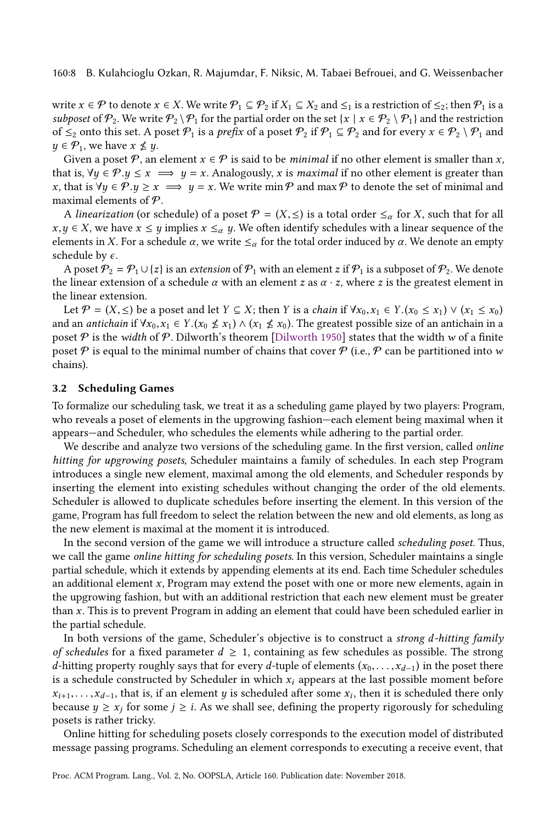write  $x \in \mathcal{P}$  to denote  $x \in X$ . We write  $\mathcal{P}_1 \subseteq \mathcal{P}_2$  if  $X_1 \subseteq X_2$  and  $\leq_1$  is a restriction of  $\leq_2$ ; then  $\mathcal{P}_1$  is a subposet of  $\mathcal{P}_2$ . We write  $\mathcal{P}_2 \setminus \mathcal{P}_1$  for the partial order on the set  $\{x \mid x \in \mathcal{P}_2 \setminus \mathcal{P}_1\}$  and the restriction of  $\leq_2$  onto this set. A poset  $\mathcal{P}_1$  is a prefix of a poset  $\mathcal{P}_2$  if  $\mathcal{P}_1 \subseteq \mathcal{P}_2$  and for every  $x \in \mathcal{P}_2 \setminus \mathcal{P}_1$  and  $y \in \mathcal{P}_1$ , we have  $x \nleq y$ .

Given a poset  $P$ , an element  $x \in P$  is said to be *minimal* if no other element is smaller than x, that is,  $\forall y \in \mathcal{P}.y \leq x \implies y = x$ . Analogously, x is maximal if no other element is greater than x, that is  $\forall y \in \mathcal{P}.y \geq x \implies y = x$ . We write min  $\mathcal{P}$  and max  $\mathcal{P}$  to denote the set of minimal and maximal elements of  $P$ .

A linearization (or schedule) of a poset  $\mathcal{P} = (X, \leq)$  is a total order  $\leq_{\alpha}$  for X, such that for all  $x, y \in X$ , we have  $x \leq y$  implies  $x \leq_\alpha y$ . We often identify schedules with a linear sequence of the elements in X. For a schedule  $\alpha$ , we write  $\leq_{\alpha}$  for the total order induced by  $\alpha$ . We denote an empty schedule by  $\epsilon$ .

A poset  $\mathcal{P}_2 = \mathcal{P}_1 \cup \{z\}$  is an extension of  $\mathcal{P}_1$  with an element z if  $\mathcal{P}_1$  is a subposet of  $\mathcal{P}_2$ . We denote the linear extension of a schedule  $\alpha$  with an element z as  $\alpha \cdot z$ , where z is the greatest element in the linear extension.

Let  $\mathcal{P} = (X, \leq)$  be a poset and let  $Y \subseteq X$ ; then Y is a chain if  $\forall x_0, x_1 \in Y$ . $(x_0 \leq x_1) \vee (x_1 \leq x_0)$ and an *antichain* if  $\forall x_0, x_1 \in Y$ . $(x_0 \notin x_1) \wedge (x_1 \notin x_0)$ . The greatest possible size of an antichain in a poset  $\mathcal P$  is the width of  $\mathcal P$ . Dilworth's theorem [\[Dilworth 1950\]](#page-26-7) states that the width w of a finite poset  $\mathcal P$  is equal to the minimal number of chains that cover  $\mathcal P$  (i.e.,  $\mathcal P$  can be partitioned into w chains).

#### 3.2 Scheduling Games

To formalize our scheduling task, we treat it as a scheduling game played by two players: Program, who reveals a poset of elements in the upgrowing fashion—each element being maximal when it appears—and Scheduler, who schedules the elements while adhering to the partial order.

We describe and analyze two versions of the scheduling game. In the first version, called *online* hitting for upgrowing posets, Scheduler maintains a family of schedules. In each step Program introduces a single new element, maximal among the old elements, and Scheduler responds by inserting the element into existing schedules without changing the order of the old elements. Scheduler is allowed to duplicate schedules before inserting the element. In this version of the game, Program has full freedom to select the relation between the new and old elements, as long as the new element is maximal at the moment it is introduced.

In the second version of the game we will introduce a structure called scheduling poset. Thus, we call the game online hitting for scheduling posets. In this version, Scheduler maintains a single partial schedule, which it extends by appending elements at its end. Each time Scheduler schedules an additional element  $x$ , Program may extend the poset with one or more new elements, again in the upgrowing fashion, but with an additional restriction that each new element must be greater than x. This is to prevent Program in adding an element that could have been scheduled earlier in the partial schedule.

In both versions of the game, Scheduler's objective is to construct a strong  $d$ -hitting family of schedules for a fixed parameter  $d \geq 1$ , containing as few schedules as possible. The strong d-hitting property roughly says that for every d-tuple of elements  $(x_0, \ldots, x_{d-1})$  in the poset there is a schedule constructed by Scheduler in which  $x_i$  appears at the last possible moment before  $x_{i+1}, \ldots, x_{d-1}$ , that is, if an element y is scheduled after some  $x_i$ , then it is scheduled there only because  $y \ge x_j$  for some  $j \ge i$ . As we shall see, defining the property rigorously for scheduling posets is rather tricky.

Online hitting for scheduling posets closely corresponds to the execution model of distributed message passing programs. Scheduling an element corresponds to executing a receive event, that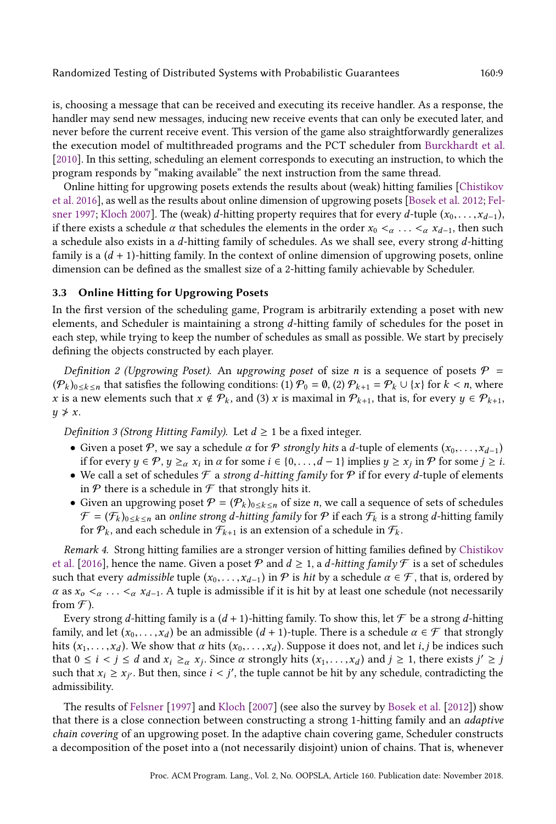is, choosing a message that can be received and executing its receive handler. As a response, the handler may send new messages, inducing new receive events that can only be executed later, and never before the current receive event. This version of the game also straightforwardly generalizes the execution model of multithreaded programs and the PCT scheduler from [Burckhardt et al.](#page-25-0) [\[2010\]](#page-25-0). In this setting, scheduling an element corresponds to executing an instruction, to which the program responds by "making available" the next instruction from the same thread.

Online hitting for upgrowing posets extends the results about (weak) hitting families [\[Chistikov](#page-26-0) [et al.](#page-26-0) [2016\]](#page-26-0), as well as the results about online dimension of upgrowing posets [\[Bosek et al.](#page-25-1) [2012;](#page-25-1) [Fel](#page-26-2)[sner 1997;](#page-26-2) [Kloch 2007\]](#page-26-3). The (weak) d-hitting property requires that for every d-tuple  $(x_0, \ldots, x_{d-1})$ , if there exists a schedule  $\alpha$  that schedules the elements in the order  $x_0 <_{\alpha} \ldots <_{\alpha} x_{d-1}$ , then such a schedule also exists in a d-hitting family of schedules. As we shall see, every strong d-hitting family is a  $(d + 1)$ -hitting family. In the context of online dimension of upgrowing posets, online dimension can be defined as the smallest size of a 2-hitting family achievable by Scheduler.

# 3.3 Online Hitting for Upgrowing Posets

In the first version of the scheduling game, Program is arbitrarily extending a poset with new elements, and Scheduler is maintaining a strong d-hitting family of schedules for the poset in each step, while trying to keep the number of schedules as small as possible. We start by precisely defining the objects constructed by each player.

Definition 2 (Upgrowing Poset). An upgrowing poset of size n is a sequence of posets  $P =$  $(\mathcal{P}_k)_{0\leq k\leq n}$  that satisfies the following conditions: (1)  $\mathcal{P}_0 = \emptyset$ , (2)  $\mathcal{P}_{k+1} = \mathcal{P}_k \cup \{x\}$  for  $k < n$ , where x is a new elements such that  $x \notin \mathcal{P}_k$ , and (3) x is maximal in  $\mathcal{P}_{k+1}$ , that is, for every  $y \in \mathcal{P}_{k+1}$ ,  $y \not\geq x$ .

Definition 3 (Strong Hitting Family). Let  $d \geq 1$  be a fixed integer.

- Given a poset  $\mathcal{P}$ , we say a schedule  $\alpha$  for  $\mathcal{P}$  strongly hits a d-tuple of elements  $(x_0, \ldots, x_{d-1})$ if for every  $y \in \mathcal{P}, y \geq_{\alpha} x_i$  in  $\alpha$  for some  $i \in \{0, \ldots, d-1\}$  implies  $y \geq x_j$  in  $\mathcal{P}$  for some  $j \geq i$ .
- We call a set of schedules  $\mathcal F$  a strong d-hitting family for  $\mathcal P$  if for every d-tuple of elements in  $P$  there is a schedule in  $F$  that strongly hits it.
- Given an upgrowing poset  $P = (P_k)_{0 \le k \le n}$  of size n, we call a sequence of sets of schedules  $\mathcal{F} = (\mathcal{F}_k)_{0 \le k \le n}$  an online strong d-hitting family for  $\mathcal{P}$  if each  $\mathcal{F}_k$  is a strong d-hitting family for  $P_k$ , and each schedule in  $\mathcal{F}_{k+1}$  is an extension of a schedule in  $\mathcal{F}_k$ .

Remark 4. Strong hitting families are a stronger version of hitting families defined by [Chistikov](#page-26-0) [et al.](#page-26-0) [\[2016\]](#page-26-0), hence the name. Given a poset  $P$  and  $d \ge 1$ , a d-hitting family  $\mathcal F$  is a set of schedules such that every *admissible* tuple  $(x_0, \ldots, x_{d-1})$  in  $\mathcal P$  is *hit* by a schedule  $\alpha \in \mathcal F$ , that is, ordered by  $\alpha$  as  $x_0 < \alpha$ ...  $< \alpha$   $x_{d-1}$ . A tuple is admissible if it is hit by at least one schedule (not necessarily from  $\mathcal{F}$ ).

Every strong d-hitting family is a  $(d + 1)$ -hitting family. To show this, let  $\mathcal F$  be a strong d-hitting family, and let  $(x_0, \ldots, x_d)$  be an admissible  $(d + 1)$ -tuple. There is a schedule  $\alpha \in \mathcal{F}$  that strongly hits  $(x_1, \ldots, x_d)$ . We show that  $\alpha$  hits  $(x_0, \ldots, x_d)$ . Suppose it does not, and let *i*, *j* be indices such that  $0 \le i < j \le d$  and  $x_i \ge_{\alpha} x_j$ . Since  $\alpha$  strongly hits  $(x_1, \ldots, x_d)$  and  $j \ge 1$ , there exists  $j' \ge j$ such that  $x_i \ge x_{j'}$ . But then, since  $i < j'$ , the tuple cannot be hit by any schedule, contradicting the admissibility.

The results of [Felsner](#page-26-2) [\[1997\]](#page-26-2) and [Kloch](#page-26-3) [\[2007\]](#page-26-3) (see also the survey by [Bosek et al.](#page-25-1) [\[2012\]](#page-25-1)) show that there is a close connection between constructing a strong 1-hitting family and an adaptive chain covering of an upgrowing poset. In the adaptive chain covering game, Scheduler constructs a decomposition of the poset into a (not necessarily disjoint) union of chains. That is, whenever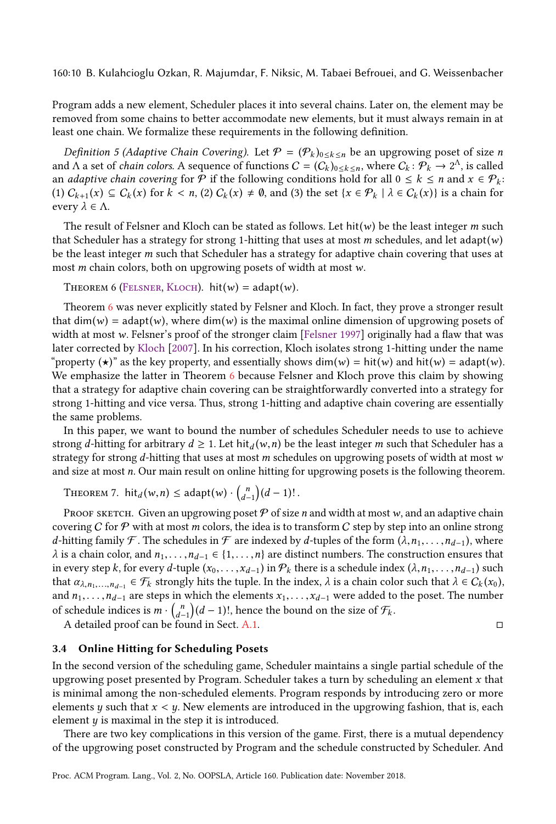160:10 B. Kulahcioglu Ozkan, R. Majumdar, F. Niksic, M. Tabaei Befrouei, and G. Weissenbacher

Program adds a new element, Scheduler places it into several chains. Later on, the element may be removed from some chains to better accommodate new elements, but it must always remain in at least one chain. We formalize these requirements in the following definition.

*Definition 5 (Adaptive Chain Covering).* Let  $\mathcal{P} = (\mathcal{P}_k)_{0 \le k \le n}$  be an upgrowing poset of size *n* and  $\Lambda$  a set of *chain colors*. A sequence of functions  $C = (C_k)_{0 \le k \le n}$ , where  $C_k : \mathcal{P}_k \to 2^\Lambda$ , is called an *adaptive chain covering* for P if the following conditions hold for all  $0 \le k \le n$  and  $x \in \mathcal{P}_k$ :  $(1)$   $C_{k+1}(x) \subseteq C_k(x)$  for  $k < n$ ,  $(2)$   $C_k(x) \neq \emptyset$ , and  $(3)$  the set  $\{x \in \mathcal{P}_k \mid \lambda \in C_k(x)\}$  is a chain for every  $\lambda \in \Lambda$ .

The result of Felsner and Kloch can be stated as follows. Let hit(w) be the least integer m such that Scheduler has a strategy for strong 1-hitting that uses at most  $m$  schedules, and let adapt( $w$ ) be the least integer  $m$  such that Scheduler has a strategy for adaptive chain covering that uses at most  $m$  chain colors, both on upgrowing posets of width at most  $w$ .

<span id="page-9-0"></span>THEOREM 6 (FELSNER, KLOCH). hit $(w) = adapt(w)$ .

Theorem [6](#page-9-0) was never explicitly stated by Felsner and Kloch. In fact, they prove a stronger result that  $\dim(w) = \text{adapt}(w)$ , where  $\dim(w)$  is the maximal online dimension of upgrowing posets of width at most w. Felsner's proof of the stronger claim [\[Felsner 1997\]](#page-26-2) originally had a flaw that was later corrected by [Kloch](#page-26-3) [\[2007\]](#page-26-3). In his correction, Kloch isolates strong 1-hitting under the name "property ( $\star$ )" as the key property, and essentially shows dim(w) = hit(w) and hit(w) = adapt(w). We emphasize the latter in Theorem [6](#page-9-0) because Felsner and Kloch prove this claim by showing that a strategy for adaptive chain covering can be straightforwardly converted into a strategy for strong 1-hitting and vice versa. Thus, strong 1-hitting and adaptive chain covering are essentially the same problems.

In this paper, we want to bound the number of schedules Scheduler needs to use to achieve strong d-hitting for arbitrary  $d \geq 1$ . Let hit  $d(w, n)$  be the least integer m such that Scheduler has a strategy for strong d-hitting that uses at most m schedules on upgrowing posets of width at most  $w$ and size at most *n*. Our main result on online hitting for upgrowing posets is the following theorem.

<span id="page-9-1"></span>THEOREM 7.  $\text{hit}_d(w, n) \leq \text{adapt}(w) \cdot {n \choose d-1}(d-1)!$ .

PROOF SKETCH. Given an upgrowing poset  $P$  of size n and width at most w, and an adaptive chain covering C for  $P$  with at most m colors, the idea is to transform C step by step into an online strong d-hitting family F. The schedules in F are indexed by d-tuples of the form  $(\lambda, n_1, \ldots, n_{d-1})$ , where  $\lambda$  is a chain color, and  $n_1, \ldots, n_{d-1} \in \{1, \ldots, n\}$  are distinct numbers. The construction ensures that in every step k, for every d-tuple  $(x_0, \ldots, x_{d-1})$  in  $\mathcal{P}_k$  there is a schedule index  $(\lambda, n_1, \ldots, n_{d-1})$  such that  $\alpha_{\lambda,n_1,\dots,n_{d-1}} \in \mathcal{F}_k$  strongly hits the tuple. In the index,  $\lambda$  is a chain color such that  $\lambda \in C_k(x_0)$ , and  $n_1, \ldots, n_{d-1}$  are steps in which the elements  $x_1, \ldots, x_{d-1}$  were added to the poset. The number of schedule indices is  $m \cdot {n \choose d-1} (d-1)!$ , hence the bound on the size of  $\mathcal{F}_k$ .

A detailed proof can be found in Sect. [A.1.](#page-24-0) □

#### <span id="page-9-2"></span>3.4 Online Hitting for Scheduling Posets

In the second version of the scheduling game, Scheduler maintains a single partial schedule of the upgrowing poset presented by Program. Scheduler takes a turn by scheduling an element  $x$  that is minimal among the non-scheduled elements. Program responds by introducing zero or more elements  $y$  such that  $x < y$ . New elements are introduced in the upgrowing fashion, that is, each element  $y$  is maximal in the step it is introduced.

There are two key complications in this version of the game. First, there is a mutual dependency of the upgrowing poset constructed by Program and the schedule constructed by Scheduler. And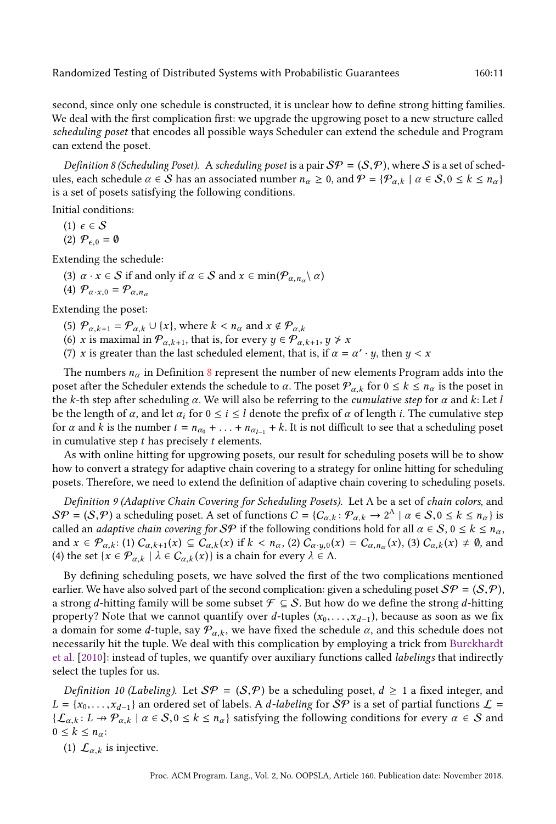second, since only one schedule is constructed, it is unclear how to define strong hitting families. We deal with the first complication first: we upgrade the upgrowing poset to a new structure called scheduling poset that encodes all possible ways Scheduler can extend the schedule and Program can extend the poset.

<span id="page-10-0"></span>Definition 8 (Scheduling Poset). A scheduling poset is a pair  $S\mathcal{P} = (S, \mathcal{P})$ , where S is a set of schedules, each schedule  $\alpha \in S$  has an associated number  $n_{\alpha} \ge 0$ , and  $P = \{P_{\alpha,k} \mid \alpha \in S, 0 \le k \le n_{\alpha}\}\$ is a set of posets satisfying the following conditions.

Initial conditions:

(1)  $\epsilon \in \mathcal{S}$ 

(2)  $\mathcal{P}_{\epsilon,0} = \emptyset$ 

Extending the schedule:

- (3)  $\alpha \cdot x \in S$  if and only if  $\alpha \in S$  and  $x \in \min(\mathcal{P}_{\alpha,n_\alpha} \setminus \alpha)$
- (4)  $\mathcal{P}_{\alpha \cdot x,0} = \mathcal{P}_{\alpha,n_{\alpha}}$

Extending the poset:

- (5)  $P_{\alpha,k+1} = P_{\alpha,k} \cup \{x\}$ , where  $k < n_{\alpha}$  and  $x \notin P_{\alpha,k}$
- (6) x is maximal in  $\mathcal{P}_{\alpha,k+1}$ , that is, for every  $y \in \mathcal{P}_{\alpha,k+1}$ ,  $y \neq x$
- (7) x is greater than the last scheduled element, that is, if  $\alpha = \alpha' \cdot y$ , then  $y < x$

The numbers  $n_{\alpha}$  in Definition [8](#page-10-0) represent the number of new elements Program adds into the poset after the Scheduler extends the schedule to  $\alpha$ . The poset  $\mathcal{P}_{\alpha,k}$  for  $0 \leq k \leq n_{\alpha}$  is the poset in the k-th step after scheduling  $\alpha$ . We will also be referring to the *cumulative step* for  $\alpha$  and k: Let l be the length of  $\alpha$ , and let  $\alpha_i$  for  $0 \le i \le l$  denote the prefix of  $\alpha$  of length i. The cumulative step for  $\alpha$  and k is the number  $t = n_{\alpha_0} + \ldots + n_{\alpha_{l-1}} + k$ . It is not difficult to see that a scheduling poset in cumulative step  $t$  has precisely  $t$  elements.

As with online hitting for upgrowing posets, our result for scheduling posets will be to show how to convert a strategy for adaptive chain covering to a strategy for online hitting for scheduling posets. Therefore, we need to extend the definition of adaptive chain covering to scheduling posets.

Definition 9 (Adaptive Chain Covering for Scheduling Posets). Let Λ be a set of chain colors, and  $\mathcal{S}\mathcal{P} = (\mathcal{S}, \mathcal{P})$  a scheduling poset. A set of functions  $C = \{C_{\alpha,k} : \mathcal{P}_{\alpha,k} \to 2^{\Lambda} \mid \alpha \in \mathcal{S}, 0 \le k \le n_{\alpha}\}\$ is called an *adaptive chain covering for SP* if the following conditions hold for all  $\alpha \in S$ ,  $0 \le k \le n_\alpha$ , and  $x \in \mathcal{P}_{\alpha,k}$ : (1)  $C_{\alpha,k+1}(x) \subseteq \overline{C}_{\alpha,k}(x)$  if  $k < n_\alpha$ , (2)  $\overline{C}_{\alpha\cdot y,0}(x) = C_{\alpha,n_\alpha}(x)$ , (3)  $C_{\alpha,k}(x) \neq \emptyset$ , and (4) the set  $\{x \in \mathcal{P}_{\alpha,k} \mid \lambda \in C_{\alpha,k}(x)\}$  is a chain for every  $\lambda \in \Lambda$ .

By defining scheduling posets, we have solved the first of the two complications mentioned earlier. We have also solved part of the second complication: given a scheduling poset  $\mathcal{SP} = (\mathcal{S}, \mathcal{P})$ , a strong d-hitting family will be some subset  $\mathcal{F} \subseteq \mathcal{S}$ . But how do we define the strong d-hitting property? Note that we cannot quantify over d-tuples  $(x_0, \ldots, x_{d-1})$ , because as soon as we fix a domain for some d-tuple, say  $\mathcal{P}_{\alpha,k}$ , we have fixed the schedule  $\alpha$ , and this schedule does not necessarily hit the tuple. We deal with this complication by employing a trick from [Burckhardt](#page-25-0) [et al.](#page-25-0) [\[2010\]](#page-25-0): instead of tuples, we quantify over auxiliary functions called labelings that indirectly select the tuples for us.

<span id="page-10-1"></span>*Definition 10 (Labeling).* Let  $\mathcal{S}\mathcal{P} = (\mathcal{S}, \mathcal{P})$  be a scheduling poset,  $d \geq 1$  a fixed integer, and  $L = \{x_0, \ldots, x_{d-1}\}\$ an ordered set of labels. A *d-labeling* for  $\mathcal{SP}$  is a set of partial functions  $\mathcal{L} =$  $\{\mathcal{L}_{\alpha,k}: L \to \mathcal{P}_{\alpha,k} \mid \alpha \in \mathcal{S}, 0 \leq k \leq n_\alpha\}$  satisfying the following conditions for every  $\alpha \in \mathcal{S}$  and  $0 \leq k \leq n_{\alpha}$ :

(1)  $\mathcal{L}_{\alpha,k}$  is injective.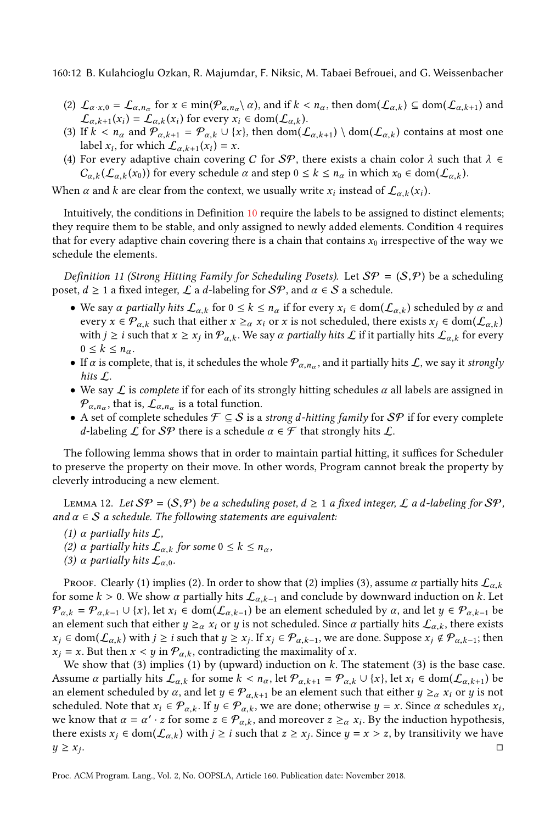160:12 B. Kulahcioglu Ozkan, R. Majumdar, F. Niksic, M. Tabaei Befrouei, and G. Weissenbacher

- (2)  $\mathcal{L}_{\alpha \cdot x,0} = \mathcal{L}_{\alpha,n_\alpha}$  for  $x \in \min(\mathcal{P}_{\alpha,n_\alpha} \setminus \alpha)$ , and if  $k < n_\alpha$ , then  $\text{dom}(\mathcal{L}_{\alpha,k}) \subseteq \text{dom}(\mathcal{L}_{\alpha,k+1})$  and  $\mathcal{L}_{\alpha,k+1}(x_i) = \mathcal{L}_{\alpha,k}(x_i)$  for every  $x_i \in \text{dom}(\mathcal{L}_{\alpha,k})$ .
- (3) If  $k < n_\alpha$  and  $\mathcal{P}_{\alpha,k+1} = \mathcal{P}_{\alpha,k} \cup \{x\}$ , then dom $(\mathcal{L}_{\alpha,k+1}) \setminus \text{dom}(\mathcal{L}_{\alpha,k})$  contains at most one label  $x_i$ , for which  $\mathcal{L}_{\alpha,k+1}(x_i) = x$ .
- (4) For every adaptive chain covering C for SP, there exists a chain color  $\lambda$  such that  $\lambda \in$  $C_{\alpha,k}(\mathcal{L}_{\alpha,k}(x_0))$  for every schedule  $\alpha$  and step  $0 \leq k \leq n_\alpha$  in which  $x_0 \in \text{dom}(\mathcal{L}_{\alpha,k})$ .

When  $\alpha$  and  $k$  are clear from the context, we usually write  $x_i$  instead of  $\mathcal{L}_{\alpha,k}(x_i)$ .

Intuitively, the conditions in Definition [10](#page-10-1) require the labels to be assigned to distinct elements; they require them to be stable, and only assigned to newly added elements. Condition 4 requires that for every adaptive chain covering there is a chain that contains  $x_0$  irrespective of the way we schedule the elements.

Definition 11 (Strong Hitting Family for Scheduling Posets). Let  $\mathcal{S}\mathcal{P} = (\mathcal{S}, \mathcal{P})$  be a scheduling poset,  $d \ge 1$  a fixed integer,  $\mathcal L$  a d-labeling for  $\mathcal{SP}$ , and  $\alpha \in \mathcal S$  a schedule.

- We say  $\alpha$  partially hits  $\mathcal{L}_{\alpha,k}$  for  $0 \leq k \leq n_\alpha$  if for every  $x_i \in \text{dom}(\mathcal{L}_{\alpha,k})$  scheduled by  $\alpha$  and every  $x \in \mathcal{P}_{\alpha,k}$  such that either  $x \geq_{\alpha} x_i$  or x is not scheduled, there exists  $x_i \in \text{dom}(\mathcal{L}_{\alpha,k})$ with  $j\geq i$  such that  $x\geq x_j$  in  $\mathcal{P}_{\alpha,k}$ . We say  $\alpha$  partially hits  $\mathcal{L}$  if it partially hits  $\mathcal{L}_{\alpha,k}$  for every  $0 \leq k \leq n_{\alpha}$ .
- If  $\alpha$  is complete, that is, it schedules the whole  $\mathcal{P}_{\alpha,n_\alpha}$ , and it partially hits  $\mathcal{L}$ , we say it strongly hits L.
- We say  $\mathcal L$  is complete if for each of its strongly hitting schedules  $\alpha$  all labels are assigned in  $\mathcal{P}_{\alpha,n_\alpha}$ , that is,  $\mathcal{L}_{\alpha,n_\alpha}$  is a total function.
- A set of complete schedules  $\mathcal{F} \subseteq \mathcal{S}$  is a strong *d*-hitting family for  $\mathcal{S}\mathcal{P}$  if for every complete d-labeling  $\mathcal L$  for  $\mathcal{SP}$  there is a schedule  $\alpha \in \mathcal F$  that strongly hits  $\mathcal L$ .

The following lemma shows that in order to maintain partial hitting, it suffices for Scheduler to preserve the property on their move. In other words, Program cannot break the property by cleverly introducing a new element.

<span id="page-11-0"></span>LEMMA 12. Let  $\mathcal{S}P = (\mathcal{S}, P)$  be a scheduling poset,  $d \geq 1$  a fixed integer,  $\mathcal L$  a d-labeling for  $\mathcal{S}P$ , and  $\alpha \in S$  a schedule. The following statements are equivalent:

- (1)  $\alpha$  partially hits  $\mathcal{L}$ ,
- (2)  $\alpha$  partially hits  $\mathcal{L}_{\alpha,k}$  for some  $0 \leq k \leq n_{\alpha}$ ,
- (3)  $\alpha$  partially hits  $\mathcal{L}_{\alpha,0}$ .

Proof. Clearly (1) implies (2). In order to show that (2) implies (3), assume  $\alpha$  partially hits  $\mathcal{L}_{\alpha,k}$ for some  $k > 0$ . We show  $\alpha$  partially hits  $\mathcal{L}_{\alpha,k-1}$  and conclude by downward induction on k. Let  $\mathcal{P}_{\alpha,k} = \mathcal{P}_{\alpha,k-1} \cup \{x\}$ , let  $x_i \in \text{dom}(\mathcal{L}_{\alpha,k-1})$  be an element scheduled by  $\alpha$ , and let  $y \in \mathcal{P}_{\alpha,k-1}$  be an element such that either  $y \geq_\alpha x_i$  or y is not scheduled. Since  $\alpha$  partially hits  $\mathcal{L}_{\alpha,k}$ , there exists  $x_j \in \text{dom}(\mathcal{L}_{\alpha,k})$  with  $j \geq i$  such that  $y \geq x_j$ . If  $x_j \in \mathcal{P}_{\alpha,k-1}$ , we are done. Suppose  $x_j \notin \mathcal{P}_{\alpha,k-1}$ ; then  $x_i = x$ . But then  $x < y$  in  $\mathcal{P}_{\alpha,k}$ , contradicting the maximality of x.

We show that (3) implies (1) by (upward) induction on  $k$ . The statement (3) is the base case. Assume  $\alpha$  partially hits  $\mathcal{L}_{\alpha,k}$  for some  $k < n_\alpha$ , let  $\mathcal{P}_{\alpha,k+1} = \mathcal{P}_{\alpha,k} \cup \{x\}$ , let  $x_i \in \text{dom}(\mathcal{L}_{\alpha,k+1})$  be an element scheduled by  $\alpha$ , and let  $y \in \mathcal{P}_{\alpha,k+1}$  be an element such that either  $y \geq_{\alpha} x_i$  or y is not scheduled. Note that  $x_i \in \mathcal{P}_{\alpha,k}$ . If  $y \in \mathcal{P}_{\alpha,k}$ , we are done; otherwise  $y = x$ . Since  $\alpha$  schedules  $x_i$ , we know that  $\alpha = \alpha' \cdot z$  for some  $z \in \mathcal{P}_{\alpha,k}$ , and moreover  $z \geq_{\alpha} x_i$ . By the induction hypothesis, there exists  $x_j \in \text{dom}(\mathcal{L}_{\alpha,k})$  with  $j \geq i$  such that  $z \geq x_j$ . Since  $y = x > z$ , by transitivity we have  $y \geq x_j$ . . □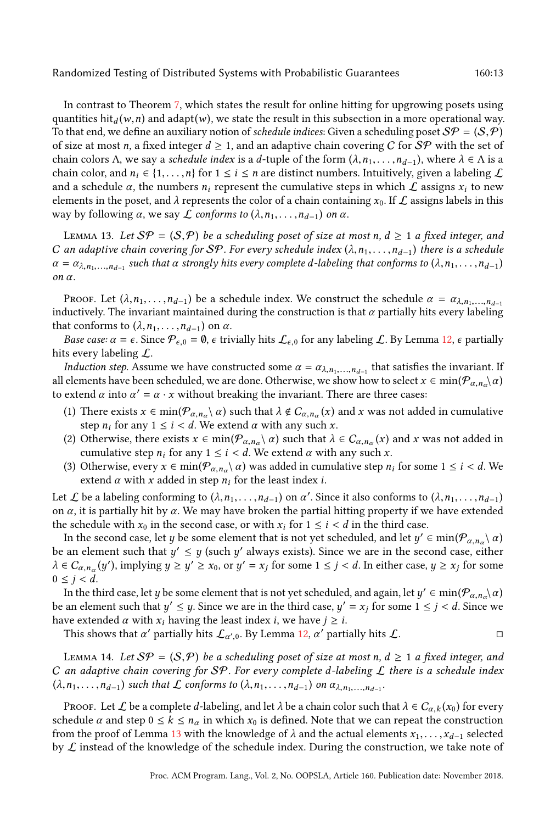In contrast to Theorem [7,](#page-9-1) which states the result for online hitting for upgrowing posets using quantities hit<sub>d</sub> (w, n) and adapt (w), we state the result in this subsection in a more operational way. To that end, we define an auxiliary notion of *schedule indices*: Given a scheduling poset  $\mathcal{SP} = (S, \mathcal{P})$ of size at most n, a fixed integer  $d \geq 1$ , and an adaptive chain covering C for SP with the set of chain colors Λ, we say a *schedule index* is a d-tuple of the form  $(\lambda, n_1, \ldots, n_{d-1})$ , where  $\lambda \in \Lambda$  is a chain color, and  $n_i \in \{1,\ldots,n\}$  for  $1 \le i \le n$  are distinct numbers. Intuitively, given a labeling  $\mathcal L$ and a schedule  $\alpha$ , the numbers  $n_i$  represent the cumulative steps in which  $\mathcal L$  assigns  $x_i$  to new elements in the poset, and  $\lambda$  represents the color of a chain containing  $x_0$ . If  $\mathcal L$  assigns labels in this way by following  $\alpha$ , we say  $\mathcal L$  conforms to  $(\lambda, n_1, \ldots, n_{d-1})$  on  $\alpha$ .

<span id="page-12-0"></span>LEMMA 13. Let  $\mathcal{S}\mathcal{P} = (\mathcal{S}, \mathcal{P})$  be a scheduling poset of size at most n,  $d \geq 1$  a fixed integer, and C an adaptive chain covering for SP. For every schedule index  $(\lambda, n_1, \ldots, n_{d-1})$  there is a schedule  $\alpha = \alpha_{\lambda,n_1,...,n_{d-1}}$  such that  $\alpha$  strongly hits every complete d-labeling that conforms to  $(\lambda,n_1,...,n_{d-1})$ on α.

Proof. Let  $(\lambda, n_1, \ldots, n_{d-1})$  be a schedule index. We construct the schedule  $\alpha = \alpha_{\lambda, n_1, \ldots, n_{d-1}}$ inductively. The invariant maintained during the construction is that  $\alpha$  partially hits every labeling that conforms to  $(\lambda, n_1, \ldots, n_{d-1})$  on  $\alpha$ .

Base case:  $\alpha = \epsilon$ . Since  $\mathcal{P}_{\epsilon,0} = \emptyset$ ,  $\epsilon$  trivially hits  $\mathcal{L}_{\epsilon,0}$  for any labeling  $\mathcal{L}$ . By Lemma [12,](#page-11-0)  $\epsilon$  partially hits every labeling  $\mathcal{L}$ .

*Induction step.* Assume we have constructed some  $\alpha = \alpha_{\lambda, n_1, \dots, n_{d-1}}$  that satisfies the invariant. If all elements have been scheduled, we are done. Otherwise, we show how to select  $x \in min(\mathcal{P}_{\alpha,n_{\alpha}}\setminus \alpha)$ to extend  $\alpha$  into  $\alpha' = \alpha \cdot x$  without breaking the invariant. There are three cases:

- (1) There exists  $x \in \min(\mathcal{P}_{\alpha,n_\alpha} \setminus \alpha)$  such that  $\lambda \notin C_{\alpha,n_\alpha}(x)$  and x was not added in cumulative step  $n_i$  for any  $1 \le i \le d$ . We extend  $\alpha$  with any such x.
- (2) Otherwise, there exists  $x \in \min(\mathcal{P}_{\alpha,n_\alpha} \setminus \alpha)$  such that  $\lambda \in C_{\alpha,n_\alpha}(x)$  and x was not added in cumulative step  $n_i$  for any  $1 \le i < d$ . We extend  $\alpha$  with any such x.
- (3) Otherwise, every  $x \in \min(\mathcal{P}_{\alpha,n_\alpha} \setminus \alpha)$  was added in cumulative step  $n_i$  for some  $1 \leq i < d$ . We extend  $\alpha$  with x added in step  $n_i$  for the least index *i*.

Let  $\mathcal L$  be a labeling conforming to  $(\lambda, n_1, \ldots, n_{d-1})$  on  $\alpha'$ . Since it also conforms to  $(\lambda, n_1, \ldots, n_{d-1})$ on  $\alpha$ , it is partially hit by  $\alpha$ . We may have broken the partial hitting property if we have extended the schedule with  $x_0$  in the second case, or with  $x_i$  for  $1 \le i \le d$  in the third case.

In the second case, let  $y$  be some element that is not yet scheduled, and let  $y'\in \min(\mathcal{P}_{\alpha,n_\alpha}\setminus\alpha)$ be an element such that  $y' \leq y$  (such  $y'$  always exists). Since we are in the second case, either  $\lambda \in C_{\alpha, n_{\alpha}}(y')$ , implying  $y \ge y' \ge x_0$ , or  $y' = x_j$  for some  $1 \le j < d$ . In either case,  $y \ge x_j$  for some  $0 \leq j < d$ .

In the third case, let  $y$  be some element that is not yet scheduled, and again, let  $y'\in min(\mathcal{P}_{\alpha,n_{\alpha}}\setminus\alpha)$ be an element such that  $y' \leq y$ . Since we are in the third case,  $y' = x_j$  for some  $1 \leq j < d$ . Since we have extended  $\alpha$  with  $x_i$  having the least index *i*, we have  $j \geq i$ .

This shows that  $\alpha'$  partially hits  $\mathcal{L}_{\alpha',0}$ . By Lemma [12,](#page-11-0)  $\alpha'$  partially hits  $\mathcal{L}$ .

<span id="page-12-1"></span>LEMMA 14. Let  $\mathcal{S}\mathcal{P} = (\mathcal{S}, \mathcal{P})$  be a scheduling poset of size at most n,  $d \geq 1$  a fixed integer, and C an adaptive chain covering for SP. For every complete d-labeling  $\mathcal L$  there is a schedule index  $(\lambda, n_1, \ldots, n_{d-1})$  such that  $\mathcal L$  conforms to  $(\lambda, n_1, \ldots, n_{d-1})$  on  $\alpha_{\lambda, n_1, \ldots, n_{d-1}}$ .

PROOF. Let  $\mathcal L$  be a complete d-labeling, and let  $\lambda$  be a chain color such that  $\lambda \in C_{\alpha,k}(x_0)$  for every schedule  $\alpha$  and step  $0 \le k \le n_\alpha$  in which  $x_0$  is defined. Note that we can repeat the construction from the proof of Lemma [13](#page-12-0) with the knowledge of  $\lambda$  and the actual elements  $x_1, \ldots, x_{d-1}$  selected by  $\mathcal L$  instead of the knowledge of the schedule index. During the construction, we take note of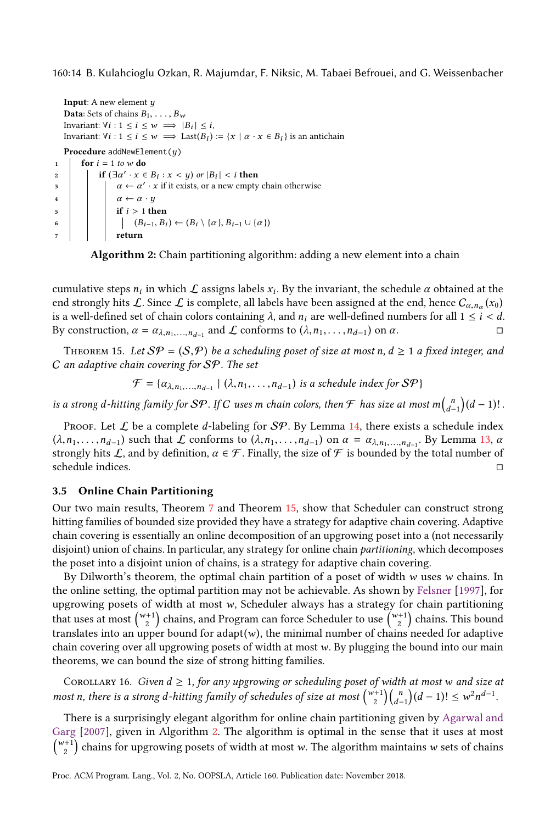160:14 B. Kulahcioglu Ozkan, R. Majumdar, F. Niksic, M. Tabaei Befrouei, and G. Weissenbacher

```
Input: A new element yData: Sets of chains B_1, \ldots, B_wInvariant: \forall i : 1 \leq i \leq w \implies |B_i| \leq i,
   Invariant: \forall i : 1 \leq i \leq w \implies Last(B_i) := \{x \mid \alpha \cdot x \in B_i\} is an antichain
  Procedure addNewElement(y)
1 for i = 1 to w do
2 \left| \begin{array}{c} \text{if } (\exists \alpha' \cdot x \in B_i : x < y) \text{ or } |B_i| < i \text{ then} \end{array} \right|\alpha and \alpha + \alpha' · x if it exists, or a new empty chain otherwise
4 \alpha \leftarrow \alpha \cdot y5 if i > 1 then
6 (B_{i-1}, B_i) \leftarrow (B_i \setminus \{\alpha\}, B_{i-1} \cup \{\alpha\})7 return
```
<span id="page-13-0"></span>Algorithm 2: Chain partitioning algorithm: adding a new element into a chain

cumulative steps  $n_i$  in which  $\mathcal L$  assigns labels  $x_i$ . By the invariant, the schedule  $\alpha$  obtained at the end strongly hits  $\cal L$ . Since  $\cal L$  is complete, all labels have been assigned at the end, hence  $C_{\alpha,n_\alpha}(x_0)$ is a well-defined set of chain colors containing  $\lambda$ , and  $n_i$  are well-defined numbers for all  $1 \leq i < d$ . By construction,  $\alpha = \alpha_{\lambda, n_1, ..., n_{d-1}}$  and  $\mathcal L$  conforms to  $(\lambda, n_1, ..., n_{d-1})$  on  $\alpha$ .

<span id="page-13-1"></span>THEOREM 15. Let  $\mathcal{S}P = (\mathcal{S}, P)$  be a scheduling poset of size at most n,  $d \geq 1$  a fixed integer, and C an adaptive chain covering for SP. The set

$$
\mathcal{F} = \{a_{\lambda, n_1, \dots, n_{d-1}} \mid (\lambda, n_1, \dots, n_{d-1}) \text{ is a schedule index for } \mathcal{SP}\}\
$$

is a strong d-hitting family for  $\mathcal{SP}$  . If  $C$  uses m chain colors, then  $\mathcal{F}$  has size at most  $m{n \choose d-1}(d-1)!$  .

Proof. Let  $\mathcal L$  be a complete d-labeling for  $\mathcal{SP}$ . By Lemma [14,](#page-12-1) there exists a schedule index  $(\lambda, n_1, \ldots, n_{d-1})$  such that  $\mathcal L$  conforms to  $(\lambda, n_1, \ldots, n_{d-1})$  on  $\alpha = \alpha_{\lambda, n_1, \ldots, n_{d-1}}$ . By Lemma [13,](#page-12-0)  $\alpha$ strongly hits L, and by definition,  $\alpha \in \mathcal{F}$ . Finally, the size of  $\mathcal F$  is bounded by the total number of schedule indices. □

#### <span id="page-13-2"></span>3.5 Online Chain Partitioning

Our two main results, Theorem [7](#page-9-1) and Theorem [15,](#page-13-1) show that Scheduler can construct strong hitting families of bounded size provided they have a strategy for adaptive chain covering. Adaptive chain covering is essentially an online decomposition of an upgrowing poset into a (not necessarily disjoint) union of chains. In particular, any strategy for online chain *partitioning*, which decomposes the poset into a disjoint union of chains, is a strategy for adaptive chain covering.

By Dilworth's theorem, the optimal chain partition of a poset of width  $w$  uses  $w$  chains. In the online setting, the optimal partition may not be achievable. As shown by [Felsner](#page-26-2) [\[1997\]](#page-26-2), for upgrowing posets of width at most w, Scheduler always has a strategy for chain partitioning that uses at most  $\binom{w+1}{2}$  chains, and Program can force Scheduler to use  $\binom{w+1}{2}$  chains. This bound translates into an upper bound for adapt $(w)$ , the minimal number of chains needed for adaptive chain covering over all upgrowing posets of width at most w. By plugging the bound into our main theorems, we can bound the size of strong hitting families.

COROLLARY 16. Given  $d \geq 1$ , for any upgrowing or scheduling poset of width at most w and size at most n, there is a strong d-hitting family of schedules of size at most  $\binom{w+1}{2}\binom{n}{d-1}(d-1)! \leq w^2n^{d-1}$ .

There is a surprisingly elegant algorithm for online chain partitioning given by [Agarwal and](#page-25-2) [Garg](#page-25-2) [\[2007\]](#page-25-2), given in Algorithm [2.](#page-13-0) The algorithm is optimal in the sense that it uses at most  $\binom{w+1}{2}$  chains for upgrowing posets of width at most w. The algorithm maintains w sets of chains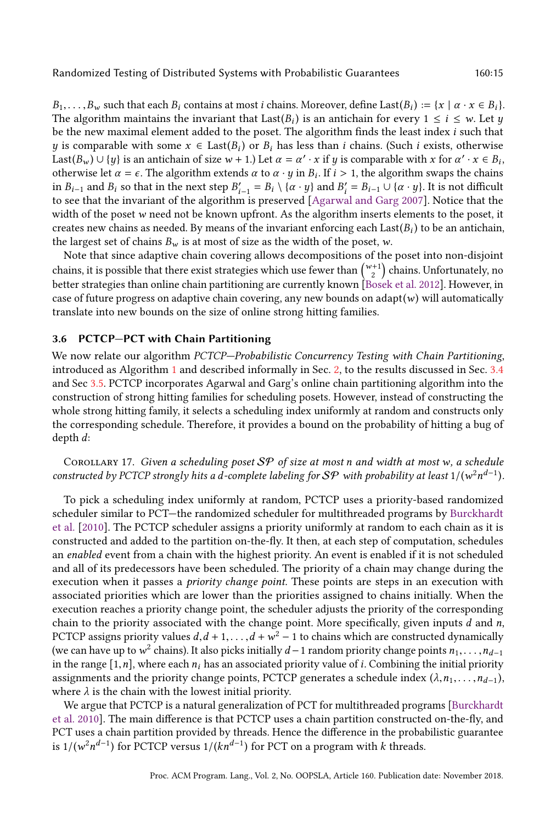$B_1,\ldots,B_w$  such that each  $B_i$  contains at most *i* chains. Moreover, define Last $(B_i) := \{x \mid \alpha \cdot x \in B_i\}$ . The algorithm maintains the invariant that Last( $B_i$ ) is an antichain for every  $1 \le i \le w$ . Let y be the new maximal element added to the poset. The algorithm finds the least index i such that y is comparable with some  $x \in Last(B_i)$  or  $B_i$  has less than i chains. (Such i exists, otherwise Last $(B_w) \cup \{y\}$  is an antichain of size  $w + 1$ .) Let  $\alpha = \alpha' \cdot x$  if  $y$  is comparable with  $x$  for  $\alpha' \cdot x \in B_i$ , otherwise let  $\alpha = \epsilon$ . The algorithm extends  $\alpha$  to  $\alpha \cdot y$  in  $B_i$ . If  $i > 1$ , the algorithm swaps the chains in  $B_{i-1}$  and  $B_i$  so that in the next step  $B'_{i-1} = B_i \setminus \{ \alpha \cdot y \}$  and  $B'_i = B_{i-1} \cup \{ \alpha \cdot y \}$ . It is not difficult to see that the invariant of the algorithm is preserved [\[Agarwal and Garg 2007\]](#page-25-2). Notice that the width of the poset w need not be known upfront. As the algorithm inserts elements to the poset, it creates new chains as needed. By means of the invariant enforcing each  $\text{Last}(B_i)$  to be an antichain, the largest set of chains  $B_w$  is at most of size as the width of the poset, w.

Note that since adaptive chain covering allows decompositions of the poset into non-disjoint chains, it is possible that there exist strategies which use fewer than  $\binom{w+1}{2}$  chains. Unfortunately, no better strategies than online chain partitioning are currently known [\[Bosek et al.](#page-25-1) [2012\]](#page-25-1). However, in case of future progress on adaptive chain covering, any new bounds on adapt $(w)$  will automatically translate into new bounds on the size of online strong hitting families.

# 3.6 PCTCP-PCT with Chain Partitioning

We now relate our algorithm PCTCP-Probabilistic Concurrency Testing with Chain Partitioning, introduced as Algorithm [1](#page-4-0) and described informally in Sec. [2,](#page-3-1) to the results discussed in Sec. [3.4](#page-9-2) and Sec [3.5.](#page-13-2) PCTCP incorporates Agarwal and Garg's online chain partitioning algorithm into the construction of strong hitting families for scheduling posets. However, instead of constructing the whole strong hitting family, it selects a scheduling index uniformly at random and constructs only the corresponding schedule. Therefore, it provides a bound on the probability of hitting a bug of depth d:

COROLLARY 17. Given a scheduling poset  $SP$  of size at most n and width at most w, a schedule constructed by PCTCP strongly hits a d-complete labeling for  $\mathcal{S}\mathcal{P}$  with probability at least 1/(w<sup>2</sup>n<sup>d-1</sup>).

To pick a scheduling index uniformly at random, PCTCP uses a priority-based randomized scheduler similar to PCT–the randomized scheduler for multithreaded programs by [Burckhardt](#page-25-0) [et al.](#page-25-0) [\[2010\]](#page-25-0). The PCTCP scheduler assigns a priority uniformly at random to each chain as it is constructed and added to the partition on-the-fly. It then, at each step of computation, schedules an enabled event from a chain with the highest priority. An event is enabled if it is not scheduled and all of its predecessors have been scheduled. The priority of a chain may change during the execution when it passes a *priority change point*. These points are steps in an execution with associated priorities which are lower than the priorities assigned to chains initially. When the execution reaches a priority change point, the scheduler adjusts the priority of the corresponding chain to the priority associated with the change point. More specifically, given inputs  $d$  and  $n$ , PCTCP assigns priority values  $d, d + 1, \ldots, d + w^2 - 1$  to chains which are constructed dynamically (we can have up to  $w^2$  chains). It also picks initially  $d-1$  random priority change points  $n_1,\ldots,n_{d-1}$ in the range  $[1,n]$ , where each  $n_i$  has an associated priority value of *i*. Combining the initial priority assignments and the priority change points, PCTCP generates a schedule index  $(\lambda, n_1, \ldots, n_{d-1})$ , where  $\lambda$  is the chain with the lowest initial priority.

We argue that PCTCP is a natural generalization of PCT for multithreaded programs [\[Burckhardt](#page-25-0) [et al.](#page-25-0) [2010\]](#page-25-0). The main difference is that PCTCP uses a chain partition constructed on-the-fly, and PCT uses a chain partition provided by threads. Hence the difference in the probabilistic guarantee is 1/(w $^2n^{d-1}$ ) for PCTCP versus 1/( $kn^{d-1}$ ) for PCT on a program with  $k$  threads.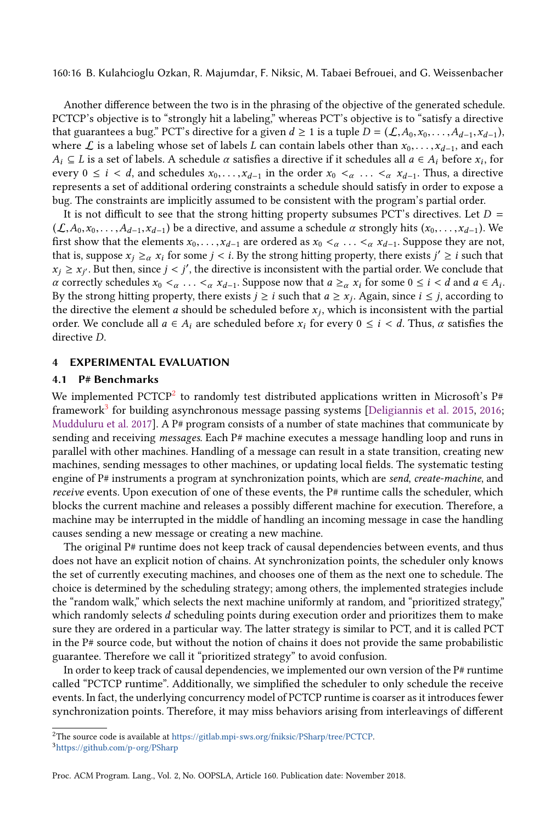160:16 B. Kulahcioglu Ozkan, R. Majumdar, F. Niksic, M. Tabaei Befrouei, and G. Weissenbacher

Another difference between the two is in the phrasing of the objective of the generated schedule. PCTCP's objective is to "strongly hit a labeling," whereas PCT's objective is to "satisfy a directive that guarantees a bug.<sup>"</sup> PCT's directive for a given  $d \ge 1$  is a tuple  $D = (\mathcal{L}, A_0, x_0, \ldots, A_{d-1}, x_{d-1})$ , where L is a labeling whose set of labels L can contain labels other than  $x_0, \ldots, x_{d-1}$ , and each  $A_i \subseteq L$  is a set of labels. A schedule  $\alpha$  satisfies a directive if it schedules all  $a \in A_i$  before  $x_i$ , for every  $0 \le i < d$ , and schedules  $x_0, \ldots, x_{d-1}$  in the order  $x_0 <_{\alpha} \ldots <_{\alpha} x_{d-1}$ . Thus, a directive represents a set of additional ordering constraints a schedule should satisfy in order to expose a bug. The constraints are implicitly assumed to be consistent with the program's partial order.

It is not difficult to see that the strong hitting property subsumes PCT's directives. Let  $D =$  $(\mathcal{L},A_0,x_0,\ldots,A_{d-1},x_{d-1})$  be a directive, and assume a schedule  $\alpha$  strongly hits  $(x_0,\ldots,x_{d-1})$ . We first show that the elements  $x_0, \ldots, x_{d-1}$  are ordered as  $x_0 <_{\alpha} \ldots <_{\alpha} x_{d-1}$ . Suppose they are not, that is, suppose  $x_j \geq_\alpha x_i$  for some  $j < i$ . By the strong hitting property, there exists  $j' \geq i$  such that  $x_j \ge x_{j'}$ . But then, since  $j < j'$ , the directive is inconsistent with the partial order. We conclude that *α* correctly schedules  $x_0 <_{\alpha}$  ...  $<_{\alpha} x_{d-1}$ . Suppose now that *a* ≥<sub>*α*</sub>  $x_i$  for some 0 ≤ *i* < *d* and *a* ∈ *A<sub>i</sub>*. By the strong hitting property, there exists  $j \geq i$  such that  $a \geq x_j$ . Again, since  $i \leq j$ , according to the directive the element  $a$  should be scheduled before  $x_j$ , which is inconsistent with the partial order. We conclude all  $a \in A_i$  are scheduled before  $x_i$  for every  $0 \le i \le d$ . Thus,  $\alpha$  satisfies the directive D.

## <span id="page-15-0"></span>4 EXPERIMENTAL EVALUATION

# 4.1 P# Benchmarks

We implemented PCTCP<sup>[2](#page-15-1)</sup> to randomly test distributed applications written in Microsoft's P# framework<sup>[3](#page-15-2)</sup> for building asynchronous message passing systems [\[Deligiannis et al.](#page-26-8) [2015,](#page-26-8) [2016;](#page-26-4) [Mudduluru et al.](#page-26-9) [2017\]](#page-26-9). A P# program consists of a number of state machines that communicate by sending and receiving messages. Each P# machine executes a message handling loop and runs in parallel with other machines. Handling of a message can result in a state transition, creating new machines, sending messages to other machines, or updating local fields. The systematic testing engine of P# instruments a program at synchronization points, which are send, create-machine, and receive events. Upon execution of one of these events, the P# runtime calls the scheduler, which blocks the current machine and releases a possibly different machine for execution. Therefore, a machine may be interrupted in the middle of handling an incoming message in case the handling causes sending a new message or creating a new machine.

The original P# runtime does not keep track of causal dependencies between events, and thus does not have an explicit notion of chains. At synchronization points, the scheduler only knows the set of currently executing machines, and chooses one of them as the next one to schedule. The choice is determined by the scheduling strategy; among others, the implemented strategies include the "random walk," which selects the next machine uniformly at random, and "prioritized strategy," which randomly selects d scheduling points during execution order and prioritizes them to make sure they are ordered in a particular way. The latter strategy is similar to PCT, and it is called PCT in the P# source code, but without the notion of chains it does not provide the same probabilistic guarantee. Therefore we call it "prioritized strategy" to avoid confusion.

In order to keep track of causal dependencies, we implemented our own version of the P# runtime called "PCTCP runtimež. Additionally, we simplified the scheduler to only schedule the receive events. In fact, the underlying concurrency model of PCTCP runtime is coarser as it introduces fewer synchronization points. Therefore, it may miss behaviors arising from interleavings of different

Proc. ACM Program. Lang., Vol. 2, No. OOPSLA, Article 160. Publication date: November 2018.

<span id="page-15-1"></span><sup>2</sup>The source code is available at [https://gitlab.mpi-sws.org/fniksic/PSharp/tree/PCTCP.](https://gitlab.mpi-sws.org/fniksic/PSharp/tree/PCTCP)

<span id="page-15-2"></span><sup>3</sup><https://github.com/p-org/PSharp>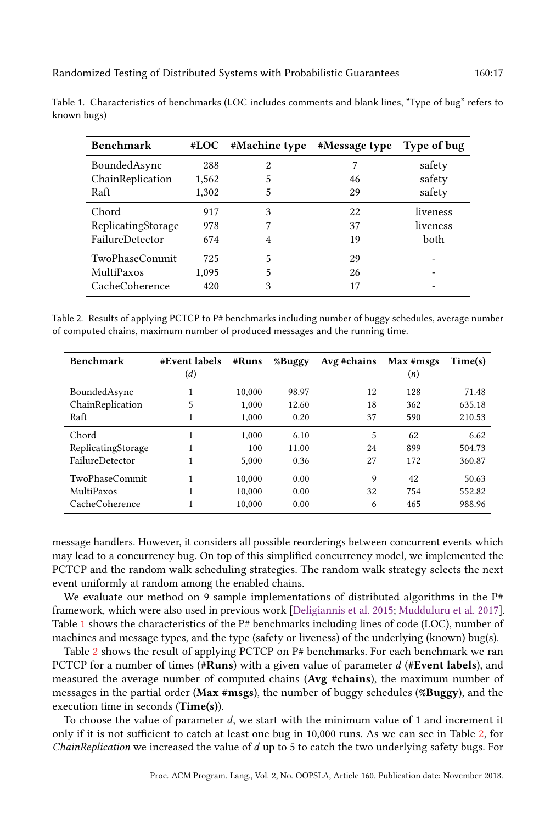TwoPhaseCommit 725 5 29 MultiPaxos 1.095 5 26 CacheCoherence 420 3 17

| .                |       |                      |               |             |
|------------------|-------|----------------------|---------------|-------------|
| <b>Benchmark</b> |       | $#LOC$ #Machine type | #Message type | Type of bug |
| BoundedAsync     | 288   |                      |               | safety      |
| ChainReplication | 1,562 |                      | 46            | safety      |
| Raft             | 1.302 |                      | 29            | safety      |

<span id="page-16-0"></span>Table 1. Characteristics of benchmarks (LOC includes comments and blank lines, "Type of bug" refers to known bugs)

Chord 917 3 22 liveness ReplicatingStorage 978 7 37 liveness FailureDetector 674 4 19 both

<span id="page-16-1"></span>

| Table 2. Results of applying PCTCP to P# benchmarks including number of buggy schedules, average number |  |  |
|---------------------------------------------------------------------------------------------------------|--|--|
| of computed chains, maximum number of produced messages and the running time.                           |  |  |

| <b>Benchmark</b>   | #Event labels | #Runs  | %Buggy | Avg #chains | Max #msgs | Time(s) |
|--------------------|---------------|--------|--------|-------------|-----------|---------|
|                    | (d)           |        |        |             | (n)       |         |
| BoundedAsync       |               | 10.000 | 98.97  | 12          | 128       | 71.48   |
| ChainReplication   | 5             | 1.000  | 12.60  | 18          | 362       | 635.18  |
| Raft               | 1             | 1.000  | 0.20   | 37          | 590       | 210.53  |
| Chord              |               | 1.000  | 6.10   | 5           | 62        | 6.62    |
| ReplicatingStorage |               | 100    | 11.00  | 24          | 899       | 504.73  |
| FailureDetector    | 1             | 5.000  | 0.36   | 27          | 172       | 360.87  |
| TwoPhaseCommit     | 1             | 10,000 | 0.00   | 9           | 42        | 50.63   |
| MultiPaxos         |               | 10.000 | 0.00   | 32          | 754       | 552.82  |
| CacheCoherence     |               | 10,000 | 0.00   | 6           | 465       | 988.96  |

message handlers. However, it considers all possible reorderings between concurrent events which may lead to a concurrency bug. On top of this simplified concurrency model, we implemented the PCTCP and the random walk scheduling strategies. The random walk strategy selects the next event uniformly at random among the enabled chains.

We evaluate our method on 9 sample implementations of distributed algorithms in the  $P#$ framework, which were also used in previous work [\[Deligiannis et al.](#page-26-8) [2015;](#page-26-8) [Mudduluru et al.](#page-26-9) [2017\]](#page-26-9). Table [1](#page-16-0) shows the characteristics of the  $P#$  benchmarks including lines of code (LOC), number of machines and message types, and the type (safety or liveness) of the underlying (known) bug(s).

Table [2](#page-16-1) shows the result of applying PCTCP on P# benchmarks. For each benchmark we ran PCTCP for a number of times (#Runs) with a given value of parameter  $d$  (#Event labels), and measured the average number of computed chains (Avg #chains), the maximum number of messages in the partial order (Max #msgs), the number of buggy schedules (%Buggy), and the execution time in seconds (Time(s)).

To choose the value of parameter  $d$ , we start with the minimum value of 1 and increment it only if it is not sufficient to catch at least one bug in 10,000 runs. As we can see in Table [2,](#page-16-1) for ChainReplication we increased the value of d up to 5 to catch the two underlying safety bugs. For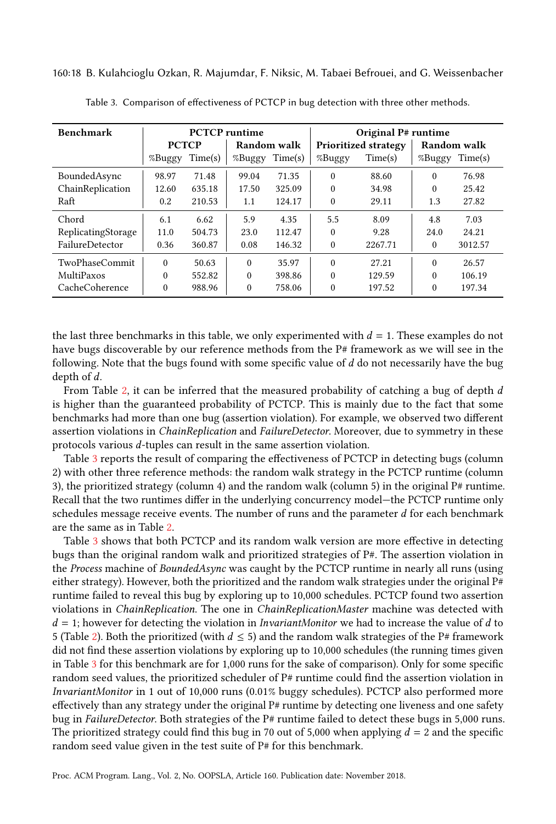<span id="page-17-0"></span>160:18 B. Kulahcioglu Ozkan, R. Majumdar, F. Niksic, M. Tabaei Befrouei, and G. Weissenbacher

| <b>Benchmark</b>   |              | <b>PCTCP</b> runtime |             |                             | Original P# runtime |                             |             |         |
|--------------------|--------------|----------------------|-------------|-----------------------------|---------------------|-----------------------------|-------------|---------|
|                    | <b>PCTCP</b> |                      | Random walk |                             |                     | <b>Prioritized strategy</b> | Random walk |         |
|                    | %Buggy       | Time(s)              |             | %Buggy<br>Time(s)<br>%Buggy |                     | Time(s)                     | %Buggy      | Time(s) |
| BoundedAsync       | 98.97        | 71.48                | 99.04       | 71.35                       | $\theta$            | 88.60                       | $\theta$    | 76.98   |
| ChainReplication   | 12.60        | 635.18               | 17.50       | 325.09                      | $\theta$            | 34.98                       | $\Omega$    | 25.42   |
| Raft               | 0.2          | 210.53               | 1.1         | 124.17                      | $\theta$            | 29.11                       | 1.3         | 27.82   |
| Chord              | 6.1          | 6.62                 | 5.9         | 4.35                        | 5.5                 | 8.09                        | 4.8         | 7.03    |
| ReplicatingStorage | 11.0         | 504.73               | 23.0        | 112.47                      | $\theta$            | 9.28                        | 24.0        | 24.21   |
| FailureDetector    | 0.36         | 360.87               | 0.08        | 146.32                      | $\theta$            | 2267.71                     | 0           | 3012.57 |
| TwoPhaseCommit     | $\Omega$     | 50.63                | $\theta$    | 35.97                       | $\theta$            | 27.21                       | $\Omega$    | 26.57   |
| MultiPaxos         | $\theta$     | 552.82               | $\theta$    | 398.86                      | $\theta$            | 129.59                      | $\Omega$    | 106.19  |
| CacheCoherence     | $\theta$     | 988.96               | $\theta$    | 758.06                      | $\theta$            | 197.52                      | $\theta$    | 197.34  |

Table 3. Comparison of effectiveness of PCTCP in bug detection with three other methods.

the last three benchmarks in this table, we only experimented with  $d = 1$ . These examples do not have bugs discoverable by our reference methods from the  $P#$  framework as we will see in the following. Note that the bugs found with some specific value of  $d$  do not necessarily have the bug depth of d.

From Table [2,](#page-16-1) it can be inferred that the measured probability of catching a bug of depth  $d$ is higher than the guaranteed probability of PCTCP. This is mainly due to the fact that some benchmarks had more than one bug (assertion violation). For example, we observed two different assertion violations in ChainReplication and FailureDetector. Moreover, due to symmetry in these protocols various d-tuples can result in the same assertion violation.

Table [3](#page-17-0) reports the result of comparing the effectiveness of PCTCP in detecting bugs (column 2) with other three reference methods: the random walk strategy in the PCTCP runtime (column 3), the prioritized strategy (column 4) and the random walk (column 5) in the original  $P#$  runtime. Recall that the two runtimes differ in the underlying concurrency model—the PCTCP runtime only schedules message receive events. The number of runs and the parameter  $d$  for each benchmark are the same as in Table [2.](#page-16-1)

Table [3](#page-17-0) shows that both PCTCP and its random walk version are more effective in detecting bugs than the original random walk and prioritized strategies of P#. The assertion violation in the Process machine of BoundedAsync was caught by the PCTCP runtime in nearly all runs (using either strategy). However, both the prioritized and the random walk strategies under the original  $P#$ runtime failed to reveal this bug by exploring up to 10,000 schedules. PCTCP found two assertion violations in ChainReplication. The one in ChainReplicationMaster machine was detected with  $d = 1$ ; however for detecting the violation in *InvariantMonitor* we had to increase the value of d to 5 (Table [2\)](#page-16-1). Both the prioritized (with  $d \leq 5$ ) and the random walk strategies of the P# framework did not find these assertion violations by exploring up to 10,000 schedules (the running times given in Table [3](#page-17-0) for this benchmark are for 1,000 runs for the sake of comparison). Only for some specific random seed values, the prioritized scheduler of P# runtime could find the assertion violation in InvariantMonitor in 1 out of 10,000 runs (0.01% buggy schedules). PCTCP also performed more effectively than any strategy under the original  $P#$  runtime by detecting one liveness and one safety bug in FailureDetector. Both strategies of the P# runtime failed to detect these bugs in 5,000 runs. The prioritized strategy could find this bug in 70 out of 5,000 when applying  $d = 2$  and the specific random seed value given in the test suite of P# for this benchmark.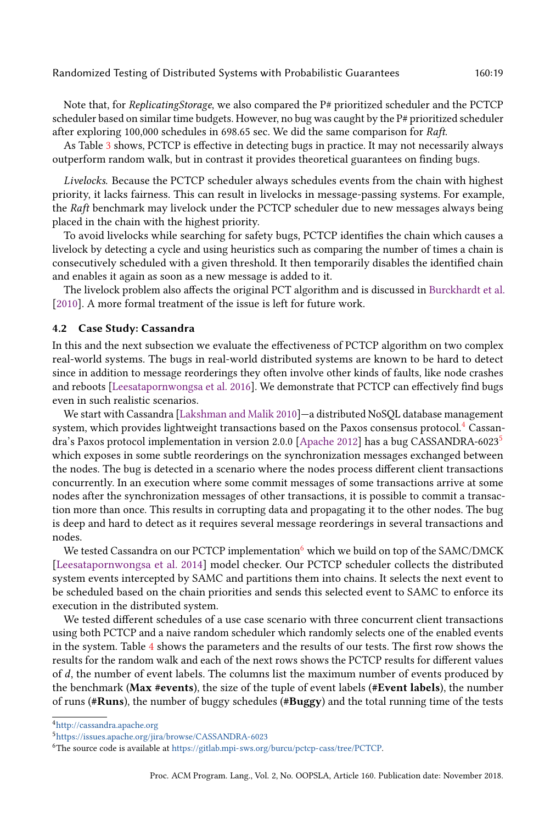Note that, for *ReplicatingStorage*, we also compared the P# prioritized scheduler and the PCTCP scheduler based on similar time budgets. However, no bug was caught by the P# prioritized scheduler after exploring 100,000 schedules in 698.65 sec. We did the same comparison for Raft.

As Table [3](#page-17-0) shows, PCTCP is effective in detecting bugs in practice. It may not necessarily always outperform random walk, but in contrast it provides theoretical guarantees on finding bugs.

Livelocks. Because the PCTCP scheduler always schedules events from the chain with highest priority, it lacks fairness. This can result in livelocks in message-passing systems. For example, the Raft benchmark may livelock under the PCTCP scheduler due to new messages always being placed in the chain with the highest priority.

To avoid livelocks while searching for safety bugs, PCTCP identifies the chain which causes a livelock by detecting a cycle and using heuristics such as comparing the number of times a chain is consecutively scheduled with a given threshold. It then temporarily disables the identified chain and enables it again as soon as a new message is added to it.

The livelock problem also affects the original PCT algorithm and is discussed in [Burckhardt et al.](#page-25-0) [\[2010\]](#page-25-0). A more formal treatment of the issue is left for future work.

#### 4.2 Case Study: Cassandra

In this and the next subsection we evaluate the effectiveness of PCTCP algorithm on two complex real-world systems. The bugs in real-world distributed systems are known to be hard to detect since in addition to message reorderings they often involve other kinds of faults, like node crashes and reboots [\[Leesatapornwongsa et al.](#page-26-10) [2016\]](#page-26-10). We demonstrate that PCTCP can effectively find bugs even in such realistic scenarios.

We start with Cassandra [\[Lakshman and Malik 2010\]](#page-26-11)–a distributed NoSQL database management system, which provides lightweight transactions based on the Paxos consensus protocol.<sup>[4](#page-18-0)</sup> Cassandra's Paxos protocol implementation in version 2.0.0 [\[Apache 2012\]](#page-25-3) has a bug CASSANDRA-6023[5](#page-18-1) which exposes in some subtle reorderings on the synchronization messages exchanged between the nodes. The bug is detected in a scenario where the nodes process different client transactions concurrently. In an execution where some commit messages of some transactions arrive at some nodes after the synchronization messages of other transactions, it is possible to commit a transaction more than once. This results in corrupting data and propagating it to the other nodes. The bug is deep and hard to detect as it requires several message reorderings in several transactions and nodes.

We tested Cassandra on our PCTCP implementation<sup>[6](#page-18-2)</sup> which we build on top of the SAMC/DMCK [\[Leesatapornwongsa et al.](#page-26-5) [2014\]](#page-26-5) model checker. Our PCTCP scheduler collects the distributed system events intercepted by SAMC and partitions them into chains. It selects the next event to be scheduled based on the chain priorities and sends this selected event to SAMC to enforce its execution in the distributed system.

We tested different schedules of a use case scenario with three concurrent client transactions using both PCTCP and a naive random scheduler which randomly selects one of the enabled events in the system. Table [4](#page-19-0) shows the parameters and the results of our tests. The first row shows the results for the random walk and each of the next rows shows the PCTCP results for different values of d, the number of event labels. The columns list the maximum number of events produced by the benchmark (Max #events), the size of the tuple of event labels (#Event labels), the number of runs (#Runs), the number of buggy schedules (#Buggy) and the total running time of the tests

<span id="page-18-0"></span><sup>4</sup><http://cassandra.apache.org>

<span id="page-18-1"></span><sup>5</sup><https://issues.apache.org/jira/browse/CASSANDRA-6023>

<span id="page-18-2"></span><sup>6</sup>The source code is available at [https://gitlab.mpi-sws.org/burcu/pctcp-cass/tree/PCTCP.](https://gitlab.mpi-sws.org/burcu/pctcp-cass/tree/PCTCP)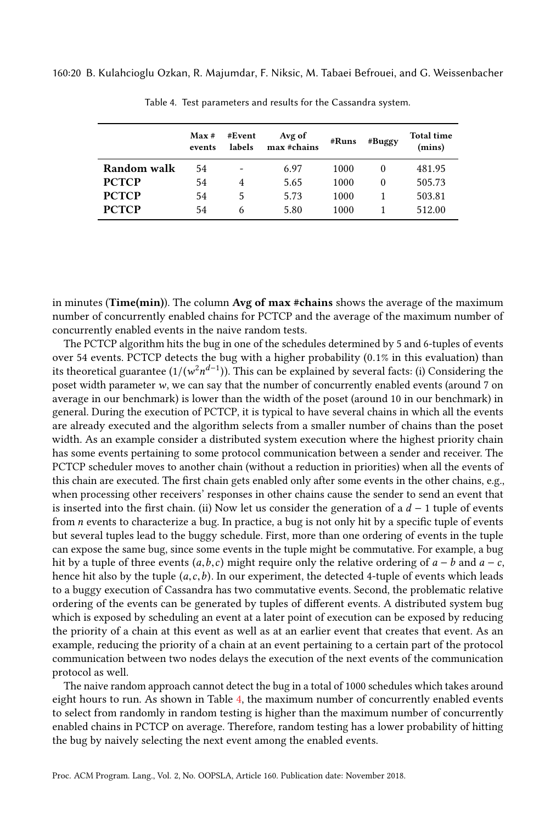<span id="page-19-0"></span>160:20 B. Kulahcioglu Ozkan, R. Majumdar, F. Niksic, M. Tabaei Befrouei, and G. Weissenbacher

|              | Max#<br>events | #Event<br>labels | Avg of<br>max #chains | #Buggy<br>#Runs |          | <b>Total time</b><br>(mins) |  |
|--------------|----------------|------------------|-----------------------|-----------------|----------|-----------------------------|--|
| Random walk  | 54             |                  | 6.97                  | 1000            | $\theta$ | 481.95                      |  |
| <b>PCTCP</b> | 54             | 4                | 5.65                  | 1000            | 0        | 505.73                      |  |
| <b>PCTCP</b> | 54             | 5                | 5.73                  | 1000            |          | 503.81                      |  |
| <b>PCTCP</b> | 54             | 6                | 5.80                  | 1000            |          | 512.00                      |  |

Table 4. Test parameters and results for the Cassandra system.

in minutes (**Time(min)**). The column **Avg of max #chains** shows the average of the maximum number of concurrently enabled chains for PCTCP and the average of the maximum number of concurrently enabled events in the naive random tests.

The PCTCP algorithm hits the bug in one of the schedules determined by 5 and 6-tuples of events over 54 events. PCTCP detects the bug with a higher probability (0.1% in this evaluation) than its theoretical guarantee (1/( $w^2n^{d-1}$ )). This can be explained by several facts: (i) Considering the poset width parameter w, we can say that the number of concurrently enabled events (around 7 on average in our benchmark) is lower than the width of the poset (around 10 in our benchmark) in general. During the execution of PCTCP, it is typical to have several chains in which all the events are already executed and the algorithm selects from a smaller number of chains than the poset width. As an example consider a distributed system execution where the highest priority chain has some events pertaining to some protocol communication between a sender and receiver. The PCTCP scheduler moves to another chain (without a reduction in priorities) when all the events of this chain are executed. The first chain gets enabled only after some events in the other chains, e.g., when processing other receivers' responses in other chains cause the sender to send an event that is inserted into the first chain. (ii) Now let us consider the generation of a  $d - 1$  tuple of events from n events to characterize a bug. In practice, a bug is not only hit by a specific tuple of events but several tuples lead to the buggy schedule. First, more than one ordering of events in the tuple can expose the same bug, since some events in the tuple might be commutative. For example, a bug hit by a tuple of three events  $(a,b,c)$  might require only the relative ordering of  $a - b$  and  $a - c$ , hence hit also by the tuple  $(a, c, b)$ . In our experiment, the detected 4-tuple of events which leads to a buggy execution of Cassandra has two commutative events. Second, the problematic relative ordering of the events can be generated by tuples of different events. A distributed system bug which is exposed by scheduling an event at a later point of execution can be exposed by reducing the priority of a chain at this event as well as at an earlier event that creates that event. As an example, reducing the priority of a chain at an event pertaining to a certain part of the protocol communication between two nodes delays the execution of the next events of the communication protocol as well.

The naive random approach cannot detect the bug in a total of 1000 schedules which takes around eight hours to run. As shown in Table [4,](#page-19-0) the maximum number of concurrently enabled events to select from randomly in random testing is higher than the maximum number of concurrently enabled chains in PCTCP on average. Therefore, random testing has a lower probability of hitting the bug by naively selecting the next event among the enabled events.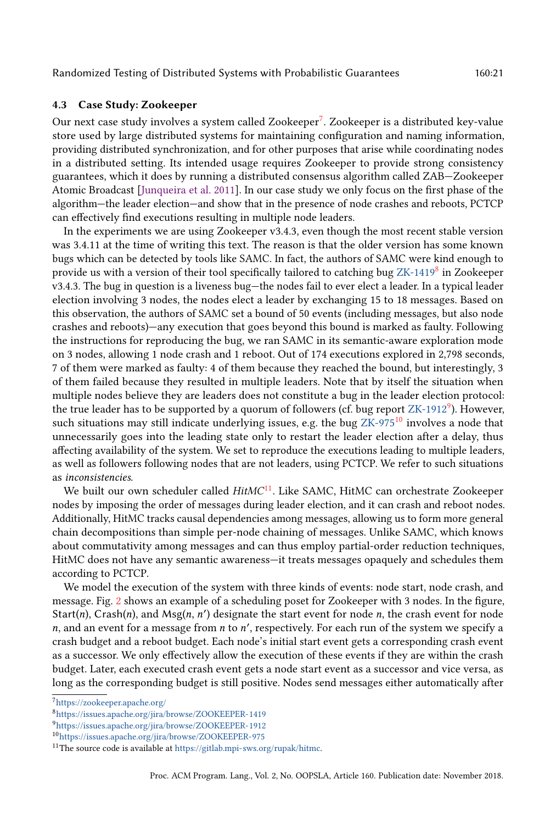# 4.3 Case Study: Zookeeper

Our next case study involves a system called Zookeeper<sup>[7](#page-20-0)</sup>. Zookeeper is a distributed key-value store used by large distributed systems for maintaining configuration and naming information, providing distributed synchronization, and for other purposes that arise while coordinating nodes in a distributed setting. Its intended usage requires Zookeeper to provide strong consistency guarantees, which it does by running a distributed consensus algorithm called ZAB-Zookeeper Atomic Broadcast [\[Junqueira et al.](#page-26-12) [2011\]](#page-26-12). In our case study we only focus on the first phase of the algorithm–the leader election–and show that in the presence of node crashes and reboots, PCTCP can effectively find executions resulting in multiple node leaders.

In the experiments we are using Zookeeper v3.4.3, even though the most recent stable version was 3.4.11 at the time of writing this text. The reason is that the older version has some known bugs which can be detected by tools like SAMC. In fact, the authors of SAMC were kind enough to provide us with a version of their tool specifically tailored to catching bug [ZK-1419](https://issues.apache.org/jira/browse/ZOOKEEPER-1419) $^8$  $^8$  in Zookeeper v3.4.3. The bug in question is a liveness bug-the nodes fail to ever elect a leader. In a typical leader election involving 3 nodes, the nodes elect a leader by exchanging 15 to 18 messages. Based on this observation, the authors of SAMC set a bound of 50 events (including messages, but also node crashes and reboots)—any execution that goes beyond this bound is marked as faulty. Following the instructions for reproducing the bug, we ran SAMC in its semantic-aware exploration mode on 3 nodes, allowing 1 node crash and 1 reboot. Out of 174 executions explored in 2,798 seconds, 7 of them were marked as faulty: 4 of them because they reached the bound, but interestingly, 3 of them failed because they resulted in multiple leaders. Note that by itself the situation when multiple nodes believe they are leaders does not constitute a bug in the leader election protocol: the true leader has to be supported by a quorum of followers (cf. bug report [ZK-1912](https://issues.apache.org/jira/browse/ZOOKEEPER-1912) $^9$  $^9$ ). However, such situations may still indicate underlying issues, e.g. the bug  $ZK-975^{10}$  $ZK-975^{10}$  $ZK-975^{10}$  $ZK-975^{10}$  involves a node that unnecessarily goes into the leading state only to restart the leader election after a delay, thus affecting availability of the system. We set to reproduce the executions leading to multiple leaders, as well as followers following nodes that are not leaders, using PCTCP. We refer to such situations as inconsistencies.

We built our own scheduler called  $HitMC<sup>11</sup>$  $HitMC<sup>11</sup>$  $HitMC<sup>11</sup>$ . Like SAMC, HitMC can orchestrate Zookeeper nodes by imposing the order of messages during leader election, and it can crash and reboot nodes. Additionally, HitMC tracks causal dependencies among messages, allowing us to form more general chain decompositions than simple per-node chaining of messages. Unlike SAMC, which knows about commutativity among messages and can thus employ partial-order reduction techniques, HitMC does not have any semantic awareness-it treats messages opaquely and schedules them according to PCTCP.

We model the execution of the system with three kinds of events: node start, node crash, and message. Fig. [2](#page-21-0) shows an example of a scheduling poset for Zookeeper with 3 nodes. In the figure, Start(n), Crash(n), and  $Msg(n, n')$  designate the start event for node n, the crash event for node  $n$ , and an event for a message from  $n$  to  $n'$ , respectively. For each run of the system we specify a crash budget and a reboot budget. Each node's initial start event gets a corresponding crash event as a successor. We only effectively allow the execution of these events if they are within the crash budget. Later, each executed crash event gets a node start event as a successor and vice versa, as long as the corresponding budget is still positive. Nodes send messages either automatically after

<span id="page-20-0"></span><sup>7</sup><https://zookeeper.apache.org/>

<span id="page-20-1"></span><sup>8</sup><https://issues.apache.org/jira/browse/ZOOKEEPER-1419>

<span id="page-20-2"></span><sup>9</sup><https://issues.apache.org/jira/browse/ZOOKEEPER-1912>

<span id="page-20-3"></span><sup>10</sup><https://issues.apache.org/jira/browse/ZOOKEEPER-975>

<span id="page-20-4"></span><sup>&</sup>lt;sup>11</sup>The source code is available at [https://gitlab.mpi-sws.org/rupak/hitmc.](https://gitlab.mpi-sws.org/rupak/hitmc)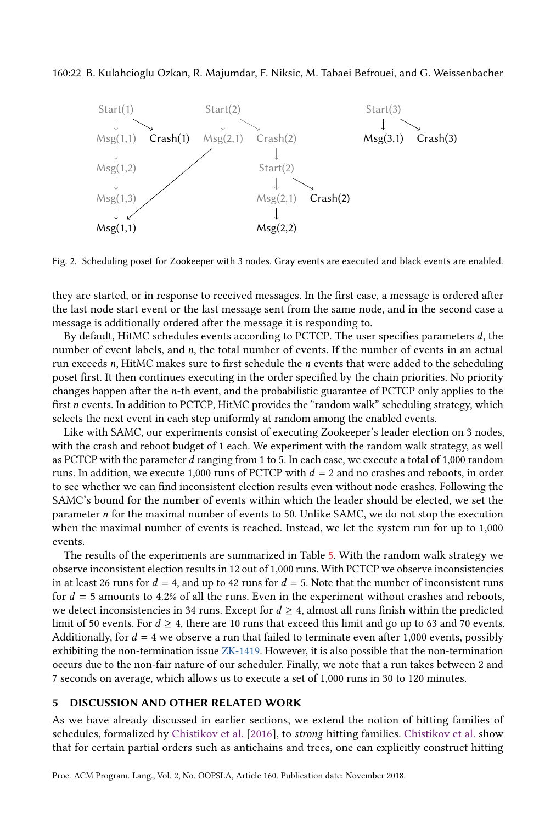#### <span id="page-21-0"></span>160:22 B. Kulahcioglu Ozkan, R. Majumdar, F. Niksic, M. Tabaei Befrouei, and G. Weissenbacher



Fig. 2. Scheduling poset for Zookeeper with 3 nodes. Gray events are executed and black events are enabled.

they are started, or in response to received messages. In the first case, a message is ordered after the last node start event or the last message sent from the same node, and in the second case a message is additionally ordered after the message it is responding to.

By default, HitMC schedules events according to PCTCP. The user specifies parameters d, the number of event labels, and  $n$ , the total number of events. If the number of events in an actual run exceeds  $n$ , HitMC makes sure to first schedule the  $n$  events that were added to the scheduling poset first. It then continues executing in the order specified by the chain priorities. No priority changes happen after the n-th event, and the probabilistic guarantee of PCTCP only applies to the first n events. In addition to PCTCP, HitMC provides the "random walk" scheduling strategy, which selects the next event in each step uniformly at random among the enabled events.

Like with SAMC, our experiments consist of executing Zookeeper's leader election on 3 nodes, with the crash and reboot budget of 1 each. We experiment with the random walk strategy, as well as PCTCP with the parameter d ranging from 1 to 5. In each case, we execute a total of 1,000 random runs. In addition, we execute 1,000 runs of PCTCP with  $d = 2$  and no crashes and reboots, in order to see whether we can find inconsistent election results even without node crashes. Following the SAMC's bound for the number of events within which the leader should be elected, we set the parameter n for the maximal number of events to 50. Unlike SAMC, we do not stop the execution when the maximal number of events is reached. Instead, we let the system run for up to 1,000 events.

The results of the experiments are summarized in Table [5.](#page-22-0) With the random walk strategy we observe inconsistent election results in 12 out of 1,000 runs. With PCTCP we observe inconsistencies in at least 26 runs for  $d = 4$ , and up to 42 runs for  $d = 5$ . Note that the number of inconsistent runs for  $d = 5$  amounts to 4.2% of all the runs. Even in the experiment without crashes and reboots, we detect inconsistencies in 34 runs. Except for  $d \geq 4$ , almost all runs finish within the predicted limit of 50 events. For  $d \geq 4$ , there are 10 runs that exceed this limit and go up to 63 and 70 events. Additionally, for  $d = 4$  we observe a run that failed to terminate even after 1,000 events, possibly exhibiting the non-termination issue [ZK-1419.](https://issues.apache.org/jira/browse/ZOOKEEPER-1419) However, it is also possible that the non-termination occurs due to the non-fair nature of our scheduler. Finally, we note that a run takes between 2 and 7 seconds on average, which allows us to execute a set of 1,000 runs in 30 to 120 minutes.

#### 5 DISCUSSION AND OTHER RELATED WORK

As we have already discussed in earlier sections, we extend the notion of hitting families of schedules, formalized by [Chistikov et al.](#page-26-0) [\[2016\]](#page-26-0), to strong hitting families. [Chistikov et al.](#page-26-0) show that for certain partial orders such as antichains and trees, one can explicitly construct hitting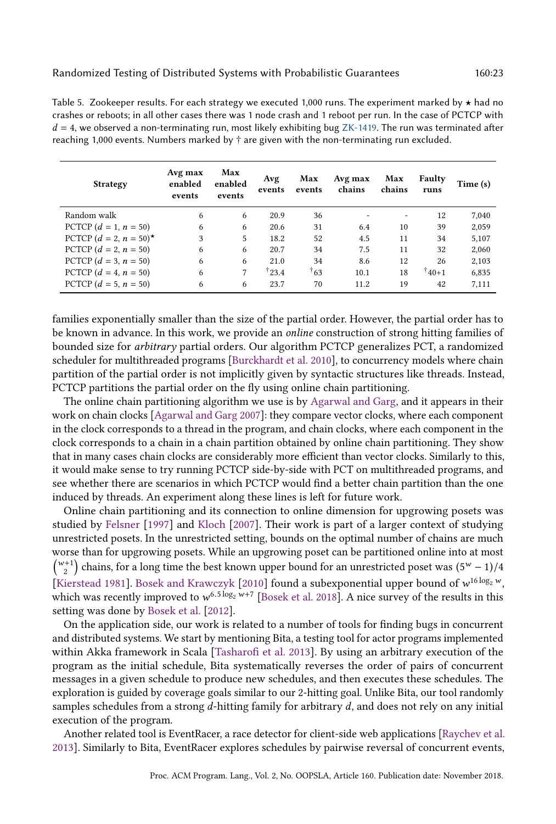<span id="page-22-0"></span>Table 5. Zookeeper results. For each strategy we executed 1,000 runs. The experiment marked by  $\star$  had no crashes or reboots; in all other cases there was 1 node crash and 1 reboot per run. In the case of PCTCP with  $d = 4$ , we observed a non-terminating run, most likely exhibiting bug [ZK-1419.](https://issues.apache.org/jira/browse/ZOOKEEPER-1419) The run was terminated after reaching 1,000 events. Numbers marked by  $\dagger$  are given with the non-terminating run excluded.

| <b>Strategy</b>           | Avg max<br>enabled<br>events | Max<br>enabled<br>events | Avg<br>events  | Max<br>events | Avg max<br>chains | Max<br>chains     | Faulty<br>runs | Time (s) |
|---------------------------|------------------------------|--------------------------|----------------|---------------|-------------------|-------------------|----------------|----------|
| Random walk               | 6                            | 6                        | 20.9           | 36            |                   | $\qquad \qquad -$ | 12             | 7,040    |
| PCTCP $(d = 1, n = 50)$   | 6                            | 6                        | 20.6           | 31            | 6.4               | 10                | 39             | 2,059    |
| PCTCP $(d = 2, n = 50)^*$ | 3                            | 5                        | 18.2           | 52            | 4.5               | 11                | 34             | 5,107    |
| PCTCP $(d = 2, n = 50)$   | 6                            | 6                        | 20.7           | 34            | 7.5               | 11                | 32             | 2,060    |
| PCTCP $(d = 3, n = 50)$   | 6                            | 6                        | 21.0           | 34            | 8.6               | 12                | 26             | 2,103    |
| PCTCP $(d = 4, n = 50)$   | 6                            | 7                        | $\dagger$ 23.4 | $\dagger$ 63  | 10.1              | 18                | $140+1$        | 6,835    |
| PCTCP $(d = 5, n = 50)$   | 6                            | 6                        | 23.7           | 70            | 11.2              | 19                | 42             | 7,111    |

families exponentially smaller than the size of the partial order. However, the partial order has to be known in advance. In this work, we provide an online construction of strong hitting families of bounded size for arbitrary partial orders. Our algorithm PCTCP generalizes PCT, a randomized scheduler for multithreaded programs [\[Burckhardt et al.](#page-25-0) [2010\]](#page-25-0), to concurrency models where chain partition of the partial order is not implicitly given by syntactic structures like threads. Instead, PCTCP partitions the partial order on the fly using online chain partitioning.

The online chain partitioning algorithm we use is by [Agarwal and Garg,](#page-25-2) and it appears in their work on chain clocks [\[Agarwal and Garg 2007\]](#page-25-2): they compare vector clocks, where each component in the clock corresponds to a thread in the program, and chain clocks, where each component in the clock corresponds to a chain in a chain partition obtained by online chain partitioning. They show that in many cases chain clocks are considerably more efficient than vector clocks. Similarly to this, it would make sense to try running PCTCP side-by-side with PCT on multithreaded programs, and see whether there are scenarios in which PCTCP would find a better chain partition than the one induced by threads. An experiment along these lines is left for future work.

Online chain partitioning and its connection to online dimension for upgrowing posets was studied by [Felsner](#page-26-2) [\[1997\]](#page-26-2) and [Kloch](#page-26-3) [\[2007\]](#page-26-3). Their work is part of a larger context of studying unrestricted posets. In the unrestricted setting, bounds on the optimal number of chains are much worse than for upgrowing posets. While an upgrowing poset can be partitioned online into at most  $\binom{w+1}{2}$  chains, for a long time the best known upper bound for an unrestricted poset was  $(5^w - 1)/4$ [\[Kierstead 1981\]](#page-26-13). [Bosek and Krawczyk](#page-25-4) [\[2010\]](#page-25-4) found a subexponential upper bound of  $w^{16\log_2 w}$ , which was recently improved to  $w^{6.5 \log_2 w+7}$  [\[Bosek et al.](#page-25-5) [2018\]](#page-25-5). A nice survey of the results in this setting was done by [Bosek et al.](#page-25-1) [\[2012\]](#page-25-1).

On the application side, our work is related to a number of tools for finding bugs in concurrent and distributed systems. We start by mentioning Bita, a testing tool for actor programs implemented within Akka framework in Scala [\[Tasharofi et al.](#page-27-1) [2013\]](#page-27-1). By using an arbitrary execution of the program as the initial schedule, Bita systematically reverses the order of pairs of concurrent messages in a given schedule to produce new schedules, and then executes these schedules. The exploration is guided by coverage goals similar to our 2-hitting goal. Unlike Bita, our tool randomly samples schedules from a strong  $d$ -hitting family for arbitrary  $d$ , and does not rely on any initial execution of the program.

Another related tool is EventRacer, a race detector for client-side web applications [\[Raychev et al.](#page-27-2) [2013\]](#page-27-2). Similarly to Bita, EventRacer explores schedules by pairwise reversal of concurrent events,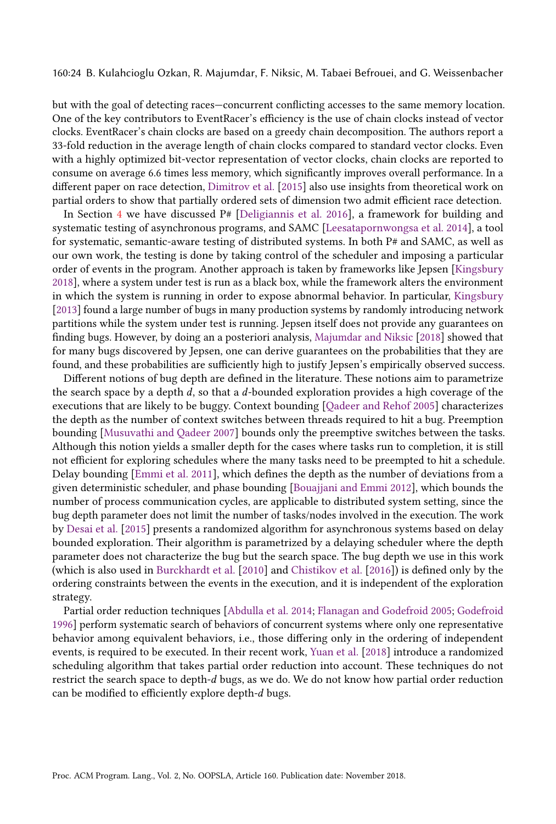160:24 B. Kulahcioglu Ozkan, R. Majumdar, F. Niksic, M. Tabaei Befrouei, and G. Weissenbacher

but with the goal of detecting races-concurrent conflicting accesses to the same memory location. One of the key contributors to EventRacer's efficiency is the use of chain clocks instead of vector clocks. EventRacer's chain clocks are based on a greedy chain decomposition. The authors report a 33-fold reduction in the average length of chain clocks compared to standard vector clocks. Even with a highly optimized bit-vector representation of vector clocks, chain clocks are reported to consume on average 6.6 times less memory, which significantly improves overall performance. In a different paper on race detection, [Dimitrov et al.](#page-26-14) [\[2015\]](#page-26-14) also use insights from theoretical work on partial orders to show that partially ordered sets of dimension two admit efficient race detection.

In Section [4](#page-15-0) we have discussed  $P#$  [\[Deligiannis et al.](#page-26-4) [2016\]](#page-26-4), a framework for building and systematic testing of asynchronous programs, and SAMC [\[Leesatapornwongsa et al. 2014\]](#page-26-5), a tool for systematic, semantic-aware testing of distributed systems. In both P# and SAMC, as well as our own work, the testing is done by taking control of the scheduler and imposing a particular order of events in the program. Another approach is taken by frameworks like Jepsen [\[Kingsbury](#page-26-15) [2018\]](#page-26-15), where a system under test is run as a black box, while the framework alters the environment in which the system is running in order to expose abnormal behavior. In particular, [Kingsbury](#page-26-16) [\[2013\]](#page-26-16) found a large number of bugs in many production systems by randomly introducing network partitions while the system under test is running. Jepsen itself does not provide any guarantees on finding bugs. However, by doing an a posteriori analysis, [Majumdar and Niksic](#page-26-1) [\[2018\]](#page-26-1) showed that for many bugs discovered by Jepsen, one can derive guarantees on the probabilities that they are found, and these probabilities are sufficiently high to justify Jepsen's empirically observed success.

Different notions of bug depth are defined in the literature. These notions aim to parametrize the search space by a depth  $d$ , so that a  $d$ -bounded exploration provides a high coverage of the executions that are likely to be buggy. Context bounding [\[Qadeer and Rehof 2005\]](#page-27-3) characterizes the depth as the number of context switches between threads required to hit a bug. Preemption bounding [\[Musuvathi and Qadeer 2007\]](#page-26-17) bounds only the preemptive switches between the tasks. Although this notion yields a smaller depth for the cases where tasks run to completion, it is still not efficient for exploring schedules where the many tasks need to be preempted to hit a schedule. Delay bounding [\[Emmi et al.](#page-26-18) [2011\]](#page-26-18), which defines the depth as the number of deviations from a given deterministic scheduler, and phase bounding [\[Bouajjani and Emmi 2012\]](#page-25-6), which bounds the number of process communication cycles, are applicable to distributed system setting, since the bug depth parameter does not limit the number of tasks/nodes involved in the execution. The work by [Desai et al.](#page-26-19) [\[2015\]](#page-26-19) presents a randomized algorithm for asynchronous systems based on delay bounded exploration. Their algorithm is parametrized by a delaying scheduler where the depth parameter does not characterize the bug but the search space. The bug depth we use in this work (which is also used in [Burckhardt et al.](#page-25-0) [\[2010\]](#page-25-0) and [Chistikov et al.](#page-26-0) [\[2016\]](#page-26-0)) is defined only by the ordering constraints between the events in the execution, and it is independent of the exploration strategy.

Partial order reduction techniques [\[Abdulla et al.](#page-25-7) [2014;](#page-25-7) [Flanagan and Godefroid 2005;](#page-26-20) [Godefroid](#page-26-21) [1996\]](#page-26-21) perform systematic search of behaviors of concurrent systems where only one representative behavior among equivalent behaviors, i.e., those differing only in the ordering of independent events, is required to be executed. In their recent work, [Yuan et al.](#page-27-4) [\[2018\]](#page-27-4) introduce a randomized scheduling algorithm that takes partial order reduction into account. These techniques do not restrict the search space to depth-d bugs, as we do. We do not know how partial order reduction can be modified to efficiently explore depth-d bugs.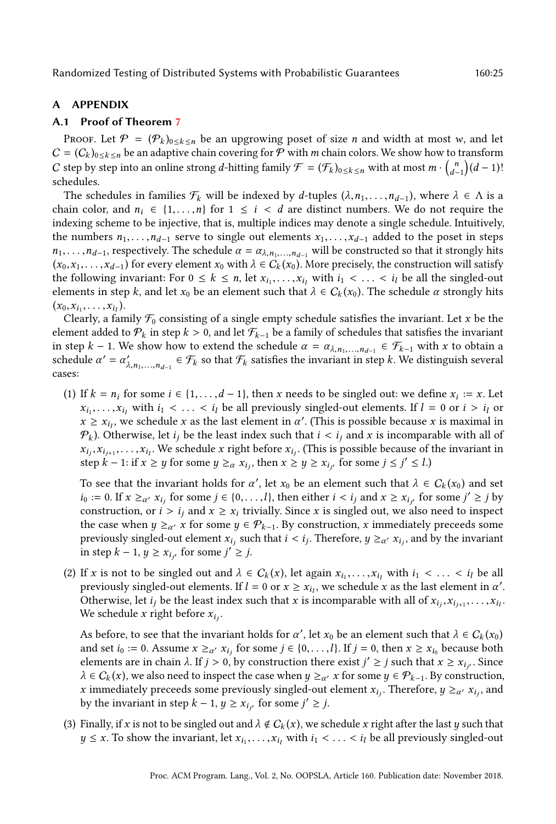# A APPENDIX

# <span id="page-24-0"></span>A.1 Proof of Theorem [7](#page-9-1)

Proof. Let  $\mathcal{P} = (\mathcal{P}_k)_{0 \le k \le n}$  be an upgrowing poset of size *n* and width at most *w*, and let  $C = (C_k)_{0 \le k \le n}$  be an adaptive chain covering for P with m chain colors. We show how to transform C step by step into an online strong d-hitting family  $\mathcal{F}=(\mathcal{F}_k)_{0\leq k\leq n}$  with at most  $m\cdot\binom{n}{d-1}(d-1)!$ schedules.

The schedules in families  $\mathcal{F}_k$  will be indexed by d-tuples  $(\lambda, n_1, \ldots, n_{d-1})$ , where  $\lambda \in \Lambda$  is a chain color, and  $n_i \in \{1, \ldots, n\}$  for  $1 \leq i < d$  are distinct numbers. We do not require the indexing scheme to be injective, that is, multiple indices may denote a single schedule. Intuitively, the numbers  $n_1, \ldots, n_{d-1}$  serve to single out elements  $x_1, \ldots, x_{d-1}$  added to the poset in steps  $n_1, \ldots, n_{d-1}$ , respectively. The schedule  $\alpha = \alpha_{\lambda, n_1, \ldots, n_{d-1}}$  will be constructed so that it strongly hits  $(x_0, x_1, \ldots, x_{d-1})$  for every element  $x_0$  with  $\lambda \in C_k(x_0)$ . More precisely, the construction will satisfy the following invariant: For  $0 \le k \le n$ , let  $x_{i_1}, \ldots, x_{i_l}$  with  $i_1 < \ldots < i_l$  be all the singled-out elements in step k, and let  $x_0$  be an element such that  $\lambda \in C_k(x_0)$ . The schedule  $\alpha$  strongly hits  $(x_0, x_{i_1}, \ldots, x_{i_l}).$ 

Clearly, a family  $\mathcal{F}_0$  consisting of a single empty schedule satisfies the invariant. Let x be the element added to  $P_k$  in step  $k > 0$ , and let  $\mathcal{F}_{k-1}$  be a family of schedules that satisfies the invariant in step k – 1. We show how to extend the schedule  $\alpha = \alpha_{\lambda, n_1, \dots, n_{d-1}} \in \mathcal{F}_{k-1}$  with x to obtain a schedule  $\alpha' = \alpha'_{\lambda, n_1,...,n_{d-1}} \in \mathcal{F}_k$  so that  $\mathcal{F}_k$  satisfies the invariant in step k. We distinguish several cases:

(1) If  $k = n_i$  for some  $i \in \{1, ..., d-1\}$ , then x needs to be singled out: we define  $x_i := x$ . Let  $x_{i_1}, \ldots, x_{i_l}$  with  $i_1 < \ldots < i_l$  be all previously singled-out elements. If  $l = 0$  or  $i > i_l$  or  $x \geq x_{i}$ , we schedule x as the last element in  $\alpha'$ . (This is possible because x is maximal in  $\mathcal{P}_k$ ). Otherwise, let  $i_j$  be the least index such that  $i < i_j$  and x is incomparable with all of  $x_{i_j}, x_{i_{j+1}}, \ldots, x_{i_l}$ . We schedule x right before  $x_{i_j}$ . (This is possible because of the invariant in step  $k-1$ : if  $x \ge y$  for some  $y \ge_\alpha x_{i_j}$ , then  $x \ge y \ge x_{i_{j'}}$  for some  $j \le j' \le l$ .)

To see that the invariant holds for  $\alpha'$ , let  $x_0$  be an element such that  $\lambda \in C_k(x_0)$  and set  $i_0 := 0$ . If  $x \geq_{\alpha'} x_{i_j}$  for some  $j \in \{0, \ldots, l\}$ , then either  $i < i_j$  and  $x \geq x_{i_{j'}}$  for some  $j' \geq j$  by construction, or  $i > i_j$  and  $x \geq x_i$  trivially. Since x is singled out, we also need to inspect the case when  $y \geq_{\alpha'} x$  for some  $y \in \mathcal{P}_{k-1}$ . By construction, x immediately preceeds some previously singled-out element  $x_{i_j}$  such that  $i < i_j$ . Therefore,  $y \geq_{\alpha'} x_{i_j}$ , and by the invariant in step  $k - 1$ ,  $y \ge x_{i_{j'}}$  for some  $j' \ge j$ .

(2) If x is not to be singled out and  $\lambda \in C_k(x)$ , let again  $x_{i_1},...,x_{i_l}$  with  $i_1 < ... < i_l$  be all previously singled-out elements. If  $l = 0$  or  $x \ge x_{i_l}$ , we schedule x as the last element in  $\alpha'$ . Otherwise, let  $i_j$  be the least index such that x is incomparable with all of  $x_{i_j}, x_{i_{j+1}}, \ldots, x_{i_l}$ . We schedule x right before  $x_{i_j}$ .

As before, to see that the invariant holds for  $\alpha'$ , let  $x_0$  be an element such that  $\lambda \in C_k(x_0)$ and set  $i_0 := 0$ . Assume  $x \geq_{\alpha'} x_{i_j}$  for some  $j \in \{0, \ldots, l\}$ . If  $j = 0$ , then  $x \geq x_{i_0}$  because both elements are in chain λ. If  $j > 0$ , by construction there exist  $j' \ge j$  such that  $x \ge x_{i_{j'}}$ . Since  $\lambda \in C_k(x)$ , we also need to inspect the case when  $y \geq_{\alpha'} x$  for some  $y \in \mathcal{P}_{k-1}$ . By construction, x immediately preceeds some previously singled-out element  $x_{i_j}$ . Therefore,  $y \geq_{\alpha'} x_{i_j}$ , and by the invariant in step  $k - 1$ ,  $y \ge x_{i_{j'}}$  for some  $j' \ge j$ .

(3) Finally, if x is not to be singled out and  $\lambda \notin C_k(x)$ , we schedule x right after the last y such that  $y \leq x$ . To show the invariant, let  $x_{i_1}, \ldots, x_{i_l}$  with  $i_1 < \ldots < i_l$  be all previously singled-out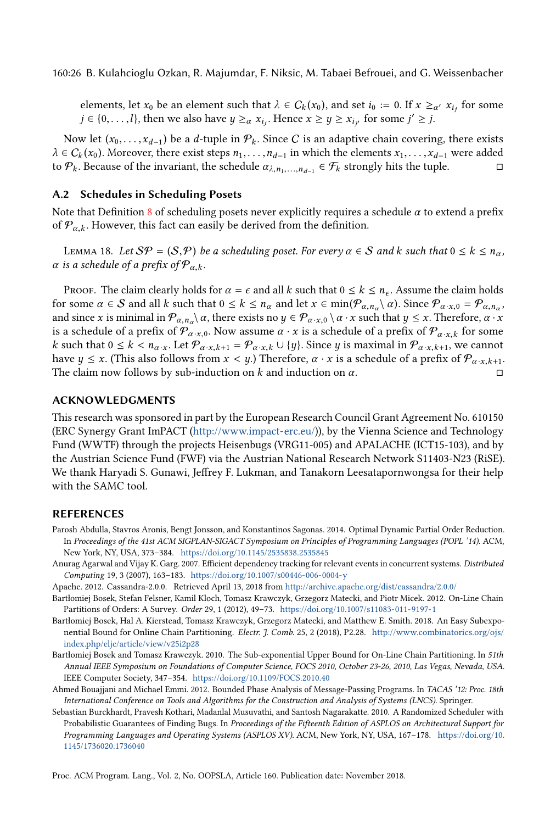160:26 B. Kulahcioglu Ozkan, R. Majumdar, F. Niksic, M. Tabaei Befrouei, and G. Weissenbacher

elements, let  $x_0$  be an element such that  $\lambda \in C_k(x_0)$ , and set  $i_0 := 0$ . If  $x \geq_{\alpha'} x_{i_j}$  for some  $j \in \{0, \ldots, l\}$ , then we also have  $y \geq_{\alpha} x_{i_j}$ . Hence  $x \geq y \geq x_{i_{j'}}$  for some  $j' \geq j$ .

Now let  $(x_0, \ldots, x_{d-1})$  be a d-tuple in  $\mathcal{P}_k$ . Since C is an adaptive chain covering, there exists  $\lambda \in C_k(x_0)$ . Moreover, there exist steps  $n_1, \ldots, n_{d-1}$  in which the elements  $x_1, \ldots, x_{d-1}$  were added to  $\mathcal{P}_k$ . Because of the invariant, the schedule  $\alpha_{\lambda,n_1,\dots,n_{d-1}} \in \mathcal{F}_k$  strongly hits the tuple. □

# A.2 Schedules in Scheduling Posets

Note that Definition [8](#page-10-0) of scheduling posets never explicitly requires a schedule  $\alpha$  to extend a prefix of  $\mathcal{P}_{\alpha,k}$ . However, this fact can easily be derived from the definition.

LEMMA 18. Let  $\mathcal{S}\mathcal{P} = (\mathcal{S},\mathcal{P})$  be a scheduling poset. For every  $\alpha \in \mathcal{S}$  and k such that  $0 \leq k \leq n_{\alpha}$ ,  $\alpha$  is a schedule of a prefix of  $\mathcal{P}_{\alpha,k}$ .

Proof. The claim clearly holds for  $\alpha = \epsilon$  and all k such that  $0 \le k \le n_{\epsilon}$ . Assume the claim holds for some  $\alpha \in S$  and all k such that  $0 \le k \le n_\alpha$  and let  $x \in \min(\mathcal{P}_{\alpha,n_\alpha} \setminus \alpha)$ . Since  $\mathcal{P}_{\alpha,x,0} = \mathcal{P}_{\alpha,n_\alpha}$ , and since x is minimal in  $\mathcal{P}_{\alpha,n_\alpha}\rangle\alpha$ , there exists no  $y\in\mathcal{P}_{\alpha\cdot x,0}\setminus\alpha\cdot x$  such that  $y\leq x$ . Therefore,  $\alpha\cdot x$ is a schedule of a prefix of  $\mathcal{P}_{\alpha,x,0}$ . Now assume  $\alpha \cdot x$  is a schedule of a prefix of  $\mathcal{P}_{\alpha,x,k}$  for some k such that  $0 \le k < n_{\alpha \cdot x}$ . Let  $\mathcal{P}_{\alpha \cdot x, k+1} = \mathcal{P}_{\alpha \cdot x, k} \cup \{y\}$ . Since y is maximal in  $\mathcal{P}_{\alpha \cdot x, k+1}$ , we cannot have  $y \leq x$ . (This also follows from  $x < y$ .) Therefore,  $\alpha \cdot x$  is a schedule of a prefix of  $\mathcal{P}_{\alpha \cdot x, k+1}$ . The claim now follows by sub-induction on k and induction on  $\alpha$ . □

#### ACKNOWLEDGMENTS

This research was sponsored in part by the European Research Council Grant Agreement No. 610150 (ERC Synergy Grant ImPACT [\(http://www.impact-erc.eu/\)](http://www.impact-erc.eu/)), by the Vienna Science and Technology Fund (WWTF) through the projects Heisenbugs (VRG11-005) and APALACHE (ICT15-103), and by the Austrian Science Fund (FWF) via the Austrian National Research Network S11403-N23 (RiSE). We thank Haryadi S. Gunawi, Jeffrey F. Lukman, and Tanakorn Leesatapornwongsa for their help with the SAMC tool.

#### **REFERENCES**

- <span id="page-25-7"></span>Parosh Abdulla, Stavros Aronis, Bengt Jonsson, and Konstantinos Sagonas. 2014. Optimal Dynamic Partial Order Reduction. In Proceedings of the 41st ACM SIGPLAN-SIGACT Symposium on Principles of Programming Languages (POPL '14). ACM, New York, NY, USA, 373-384. <https://doi.org/10.1145/2535838.2535845>
- <span id="page-25-2"></span>Anurag Agarwal and Vijay K. Garg. 2007. Efficient dependency tracking for relevant events in concurrent systems. Distributed Computing 19, 3 (2007), 163-183. <https://doi.org/10.1007/s00446-006-0004-y>
- <span id="page-25-3"></span>Apache. 2012. Cassandra-2.0.0. Retrieved April 13, 2018 from <http://archive.apache.org/dist/cassandra/2.0.0/>
- <span id="page-25-1"></span>Bartłomiej Bosek, Stefan Felsner, Kamil Kloch, Tomasz Krawczyk, Grzegorz Matecki, and Piotr Micek. 2012. On-Line Chain Partitions of Orders: A Survey. Order 29, 1 (2012), 49-73. <https://doi.org/10.1007/s11083-011-9197-1>
- <span id="page-25-5"></span>Bartłomiej Bosek, Hal A. Kierstead, Tomasz Krawczyk, Grzegorz Matecki, and Matthew E. Smith. 2018. An Easy Subexponential Bound for Online Chain Partitioning. Electr. J. Comb. 25, 2 (2018), P2.28. [http://www.combinatorics.org/ojs/](http://www.combinatorics.org/ojs/index.php/eljc/article/view/v25i2p28) [index.php/eljc/article/view/v25i2p28](http://www.combinatorics.org/ojs/index.php/eljc/article/view/v25i2p28)
- <span id="page-25-4"></span>Bartłomiej Bosek and Tomasz Krawczyk. 2010. The Sub-exponential Upper Bound for On-Line Chain Partitioning. In 51th Annual IEEE Symposium on Foundations of Computer Science, FOCS 2010, October 23-26, 2010, Las Vegas, Nevada, USA. IEEE Computer Society, 347-354. <https://doi.org/10.1109/FOCS.2010.40>
- <span id="page-25-6"></span>Ahmed Bouajjani and Michael Emmi. 2012. Bounded Phase Analysis of Message-Passing Programs. In TACAS '12: Proc. 18th International Conference on Tools and Algorithms for the Construction and Analysis of Systems (LNCS). Springer.
- <span id="page-25-0"></span>Sebastian Burckhardt, Pravesh Kothari, Madanlal Musuvathi, and Santosh Nagarakatte. 2010. A Randomized Scheduler with Probabilistic Guarantees of Finding Bugs. In Proceedings of the Fifteenth Edition of ASPLOS on Architectural Support for Programming Languages and Operating Systems (ASPLOS XV). ACM, New York, NY, USA, 167-178. [https://doi.org/10.](https://doi.org/10.1145/1736020.1736040) [1145/1736020.1736040](https://doi.org/10.1145/1736020.1736040)

Proc. ACM Program. Lang., Vol. 2, No. OOPSLA, Article 160. Publication date: November 2018.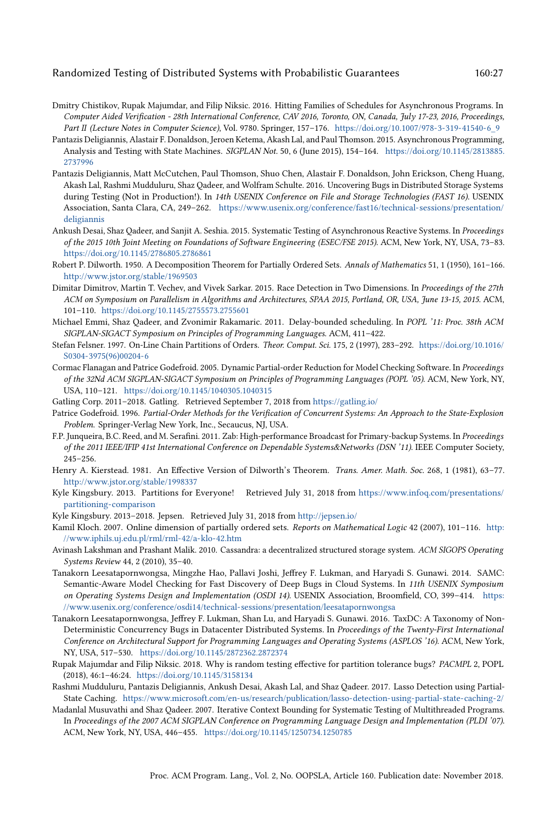- <span id="page-26-0"></span>Dmitry Chistikov, Rupak Majumdar, and Filip Niksic. 2016. Hitting Families of Schedules for Asynchronous Programs. In Computer Aided Verification - 28th International Conference, CAV 2016, Toronto, ON, Canada, July 17-23, 2016, Proceedings, Part II (Lecture Notes in Computer Science), Vol. 9780. Springer, 157-176. [https://doi.org/10.1007/978-3-319-41540-6\\_9](https://doi.org/10.1007/978-3-319-41540-6_9)
- <span id="page-26-8"></span>Pantazis Deligiannis, Alastair F. Donaldson, Jeroen Ketema, Akash Lal, and Paul Thomson. 2015. Asynchronous Programming, Analysis and Testing with State Machines. SIGPLAN Not. 50, 6 (June 2015), 154-164. [https://doi.org/10.1145/2813885.](https://doi.org/10.1145/2813885.2737996) [2737996](https://doi.org/10.1145/2813885.2737996)
- <span id="page-26-4"></span>Pantazis Deligiannis, Matt McCutchen, Paul Thomson, Shuo Chen, Alastair F. Donaldson, John Erickson, Cheng Huang, Akash Lal, Rashmi Mudduluru, Shaz Qadeer, and Wolfram Schulte. 2016. Uncovering Bugs in Distributed Storage Systems during Testing (Not in Production!). In 14th USENIX Conference on File and Storage Technologies (FAST 16). USENIX Association, Santa Clara, CA, 249-262. [https://www.usenix.org/conference/fast16/technical-sessions/presentation/](https://www.usenix.org/conference/fast16/technical-sessions/presentation/deligiannis) [deligiannis](https://www.usenix.org/conference/fast16/technical-sessions/presentation/deligiannis)
- <span id="page-26-19"></span>Ankush Desai, Shaz Qadeer, and Sanjit A. Seshia. 2015. Systematic Testing of Asynchronous Reactive Systems. In Proceedings of the 2015 10th Joint Meeting on Foundations of Software Engineering (ESEC/FSE 2015). ACM, New York, NY, USA, 73-83. <https://doi.org/10.1145/2786805.2786861>
- <span id="page-26-7"></span>Robert P. Dilworth. 1950. A Decomposition Theorem for Partially Ordered Sets. Annals of Mathematics 51, 1 (1950), 161-166. <http://www.jstor.org/stable/1969503>
- <span id="page-26-14"></span>Dimitar Dimitrov, Martin T. Vechev, and Vivek Sarkar. 2015. Race Detection in Two Dimensions. In Proceedings of the 27th ACM on Symposium on Parallelism in Algorithms and Architectures, SPAA 2015, Portland, OR, USA, June 13-15, 2015. ACM, 101-110. <https://doi.org/10.1145/2755573.2755601>
- <span id="page-26-18"></span>Michael Emmi, Shaz Qadeer, and Zvonimir Rakamaric. 2011. Delay-bounded scheduling. In POPL '11: Proc. 38th ACM SIGPLAN-SIGACT Symposium on Principles of Programming Languages. ACM, 411-422.
- <span id="page-26-2"></span>Stefan Felsner. 1997. On-Line Chain Partitions of Orders. Theor. Comput. Sci. 175, 2 (1997), 283-292. [https://doi.org/10.1016/](https://doi.org/10.1016/S0304-3975(96)00204-6) [S0304-3975\(96\)00204-6](https://doi.org/10.1016/S0304-3975(96)00204-6)
- <span id="page-26-20"></span>Cormac Flanagan and Patrice Godefroid. 2005. Dynamic Partial-order Reduction for Model Checking Software. In Proceedings of the 32Nd ACM SIGPLAN-SIGACT Symposium on Principles of Programming Languages (POPL '05). ACM, New York, NY, USA, 110-121. <https://doi.org/10.1145/1040305.1040315>
- <span id="page-26-6"></span>Gatling Corp. 2011-2018. Gatling. Retrieved September 7, 2018 from <https://gatling.io/>
- <span id="page-26-21"></span>Patrice Godefroid. 1996. Partial-Order Methods for the Verification of Concurrent Systems: An Approach to the State-Explosion Problem. Springer-Verlag New York, Inc., Secaucus, NJ, USA.
- <span id="page-26-12"></span>F.P. Junqueira, B.C. Reed, and M. Serafini. 2011. Zab: High-performance Broadcast for Primary-backup Systems. In Proceedings of the 2011 IEEE/IFIP 41st International Conference on Dependable Systems&Networks (DSN '11). IEEE Computer Society,  $245 - 256$
- <span id="page-26-13"></span>Henry A. Kierstead. 1981. An Effective Version of Dilworth's Theorem. Trans. Amer. Math. Soc. 268, 1 (1981), 63-77. <http://www.jstor.org/stable/1998337>
- <span id="page-26-16"></span>Kyle Kingsbury. 2013. Partitions for Everyone! Retrieved July 31, 2018 from [https://www.infoq.com/presentations/](https://www.infoq.com/presentations/partitioning-comparison) [partitioning-comparison](https://www.infoq.com/presentations/partitioning-comparison)
- <span id="page-26-15"></span>Kyle Kingsbury. 2013-2018. Jepsen. Retrieved July 31, 2018 from <http://jepsen.io/>
- <span id="page-26-3"></span>Kamil Kloch. 2007. Online dimension of partially ordered sets. Reports on Mathematical Logic 42 (2007), 101-116. [http:](http://www.iphils.uj.edu.pl/rml/rml-42/a-klo-42.htm) [//www.iphils.uj.edu.pl/rml/rml-42/a-klo-42.htm](http://www.iphils.uj.edu.pl/rml/rml-42/a-klo-42.htm)
- <span id="page-26-11"></span>Avinash Lakshman and Prashant Malik. 2010. Cassandra: a decentralized structured storage system. ACM SIGOPS Operating Systems Review 44, 2 (2010), 35-40.
- <span id="page-26-5"></span>Tanakorn Leesatapornwongsa, Mingzhe Hao, Pallavi Joshi, Jeffrey F. Lukman, and Haryadi S. Gunawi. 2014. SAMC: Semantic-Aware Model Checking for Fast Discovery of Deep Bugs in Cloud Systems. In 11th USENIX Symposium on Operating Systems Design and Implementation (OSDI 14). USENIX Association, Broomfield, CO, 399-414. [https:](https://www.usenix.org/conference/osdi14/technical-sessions/presentation/leesatapornwongsa) [//www.usenix.org/conference/osdi14/technical-sessions/presentation/leesatapornwongsa](https://www.usenix.org/conference/osdi14/technical-sessions/presentation/leesatapornwongsa)
- <span id="page-26-10"></span>Tanakorn Leesatapornwongsa, Jeffrey F. Lukman, Shan Lu, and Haryadi S. Gunawi. 2016. TaxDC: A Taxonomy of Non-Deterministic Concurrency Bugs in Datacenter Distributed Systems. In Proceedings of the Twenty-First International Conference on Architectural Support for Programming Languages and Operating Systems (ASPLOS '16). ACM, New York, NY, USA, 517-530. <https://doi.org/10.1145/2872362.2872374>
- <span id="page-26-1"></span>Rupak Majumdar and Filip Niksic. 2018. Why is random testing effective for partition tolerance bugs? PACMPL 2, POPL (2018), 46:1-46:24. <https://doi.org/10.1145/3158134>
- <span id="page-26-9"></span>Rashmi Mudduluru, Pantazis Deligiannis, Ankush Desai, Akash Lal, and Shaz Qadeer. 2017. Lasso Detection using Partial-State Caching. <https://www.microsoft.com/en-us/research/publication/lasso-detection-using-partial-state-caching-2/>
- <span id="page-26-17"></span>Madanlal Musuvathi and Shaz Qadeer. 2007. Iterative Context Bounding for Systematic Testing of Multithreaded Programs. In Proceedings of the 2007 ACM SIGPLAN Conference on Programming Language Design and Implementation (PLDI '07). ACM, New York, NY, USA, 446-455. <https://doi.org/10.1145/1250734.1250785>